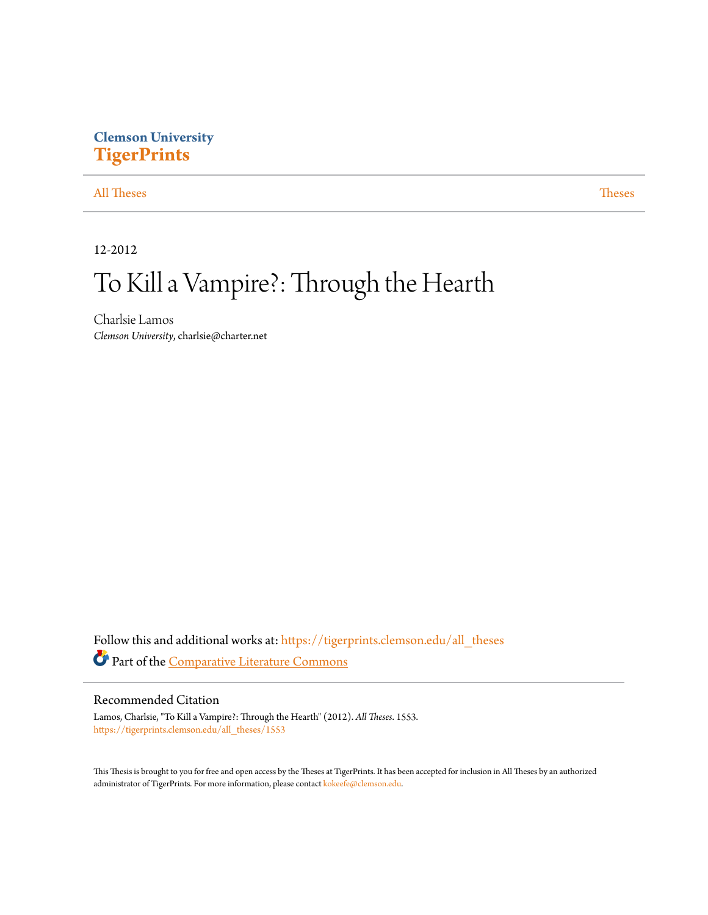# **Clemson University [TigerPrints](https://tigerprints.clemson.edu?utm_source=tigerprints.clemson.edu%2Fall_theses%2F1553&utm_medium=PDF&utm_campaign=PDFCoverPages)**

[All Theses](https://tigerprints.clemson.edu/all_theses?utm_source=tigerprints.clemson.edu%2Fall_theses%2F1553&utm_medium=PDF&utm_campaign=PDFCoverPages) **[Theses](https://tigerprints.clemson.edu/theses?utm_source=tigerprints.clemson.edu%2Fall_theses%2F1553&utm_medium=PDF&utm_campaign=PDFCoverPages)** 

12-2012

# To Kill a Vampire?: Through the Hearth

Charlsie Lamos *Clemson University*, charlsie@charter.net

Follow this and additional works at: [https://tigerprints.clemson.edu/all\\_theses](https://tigerprints.clemson.edu/all_theses?utm_source=tigerprints.clemson.edu%2Fall_theses%2F1553&utm_medium=PDF&utm_campaign=PDFCoverPages) Part of the [Comparative Literature Commons](http://network.bepress.com/hgg/discipline/454?utm_source=tigerprints.clemson.edu%2Fall_theses%2F1553&utm_medium=PDF&utm_campaign=PDFCoverPages)

### Recommended Citation

Lamos, Charlsie, "To Kill a Vampire?: Through the Hearth" (2012). *All Theses*. 1553. [https://tigerprints.clemson.edu/all\\_theses/1553](https://tigerprints.clemson.edu/all_theses/1553?utm_source=tigerprints.clemson.edu%2Fall_theses%2F1553&utm_medium=PDF&utm_campaign=PDFCoverPages)

This Thesis is brought to you for free and open access by the Theses at TigerPrints. It has been accepted for inclusion in All Theses by an authorized administrator of TigerPrints. For more information, please contact [kokeefe@clemson.edu](mailto:kokeefe@clemson.edu).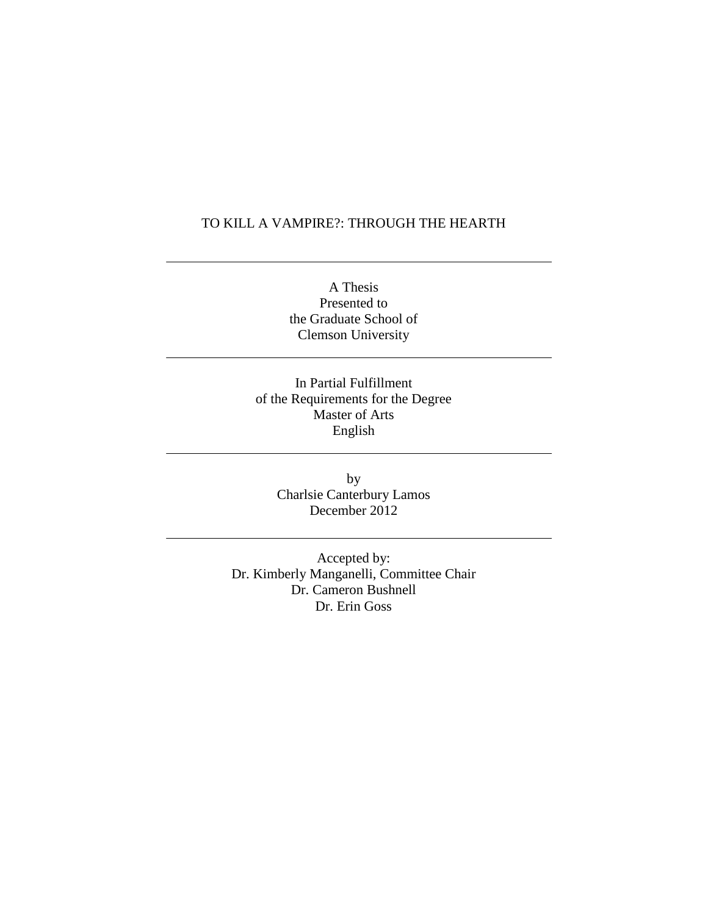### TO KILL A VAMPIRE?: THROUGH THE HEARTH

A Thesis Presented to the Graduate School of Clemson University

In Partial Fulfillment of the Requirements for the Degree Master of Arts English

> by Charlsie Canterbury Lamos December 2012

Accepted by: Dr. Kimberly Manganelli, Committee Chair Dr. Cameron Bushnell Dr. Erin Goss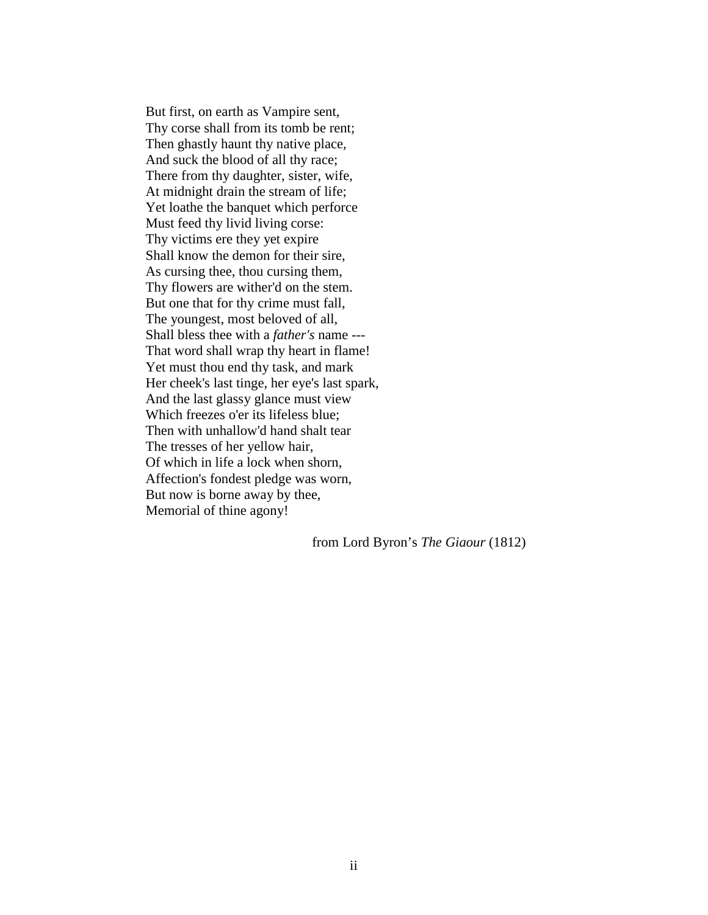But first, on earth as Vampire sent, Thy corse shall from its tomb be rent; Then ghastly haunt thy native place, And suck the blood of all thy race; There from thy daughter, sister, wife, At midnight drain the stream of life; Yet loathe the banquet which perforce Must feed thy livid living corse: Thy victims ere they yet expire Shall know the demon for their sire, As cursing thee, thou cursing them, Thy flowers are wither'd on the stem. But one that for thy crime must fall, The youngest, most beloved of all, Shall bless thee with a *father's* name --- That word shall wrap thy heart in flame! Yet must thou end thy task, and mark Her cheek's last tinge, her eye's last spark, And the last glassy glance must view Which freezes o'er its lifeless blue; Then with unhallow'd hand shalt tear The tresses of her yellow hair, Of which in life a lock when shorn, Affection's fondest pledge was worn, But now is borne away by thee, Memorial of thine agony!

from Lord Byron's *The Giaour* (1812)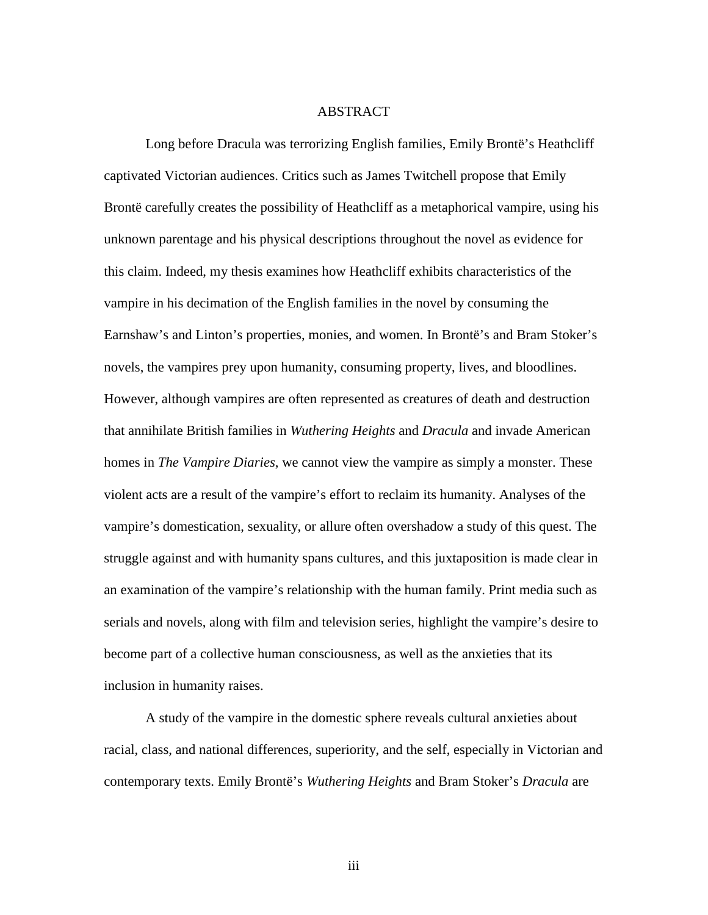### ABSTRACT

Long before Dracula was terrorizing English families, Emily Brontë's Heathcliff captivated Victorian audiences. Critics such as James Twitchell propose that Emily Brontë carefully creates the possibility of Heathcliff as a metaphorical vampire, using his unknown parentage and his physical descriptions throughout the novel as evidence for this claim. Indeed, my thesis examines how Heathcliff exhibits characteristics of the vampire in his decimation of the English families in the novel by consuming the Earnshaw's and Linton's properties, monies, and women. In Brontë's and Bram Stoker's novels, the vampires prey upon humanity, consuming property, lives, and bloodlines. However, although vampires are often represented as creatures of death and destruction that annihilate British families in *Wuthering Heights* and *Dracula* and invade American homes in *The Vampire Diaries*, we cannot view the vampire as simply a monster. These violent acts are a result of the vampire's effort to reclaim its humanity. Analyses of the vampire's domestication, sexuality, or allure often overshadow a study of this quest. The struggle against and with humanity spans cultures, and this juxtaposition is made clear in an examination of the vampire's relationship with the human family. Print media such as serials and novels, along with film and television series, highlight the vampire's desire to become part of a collective human consciousness, as well as the anxieties that its inclusion in humanity raises.

A study of the vampire in the domestic sphere reveals cultural anxieties about racial, class, and national differences, superiority, and the self, especially in Victorian and contemporary texts. Emily Brontë's *Wuthering Heights* and Bram Stoker's *Dracula* are

iii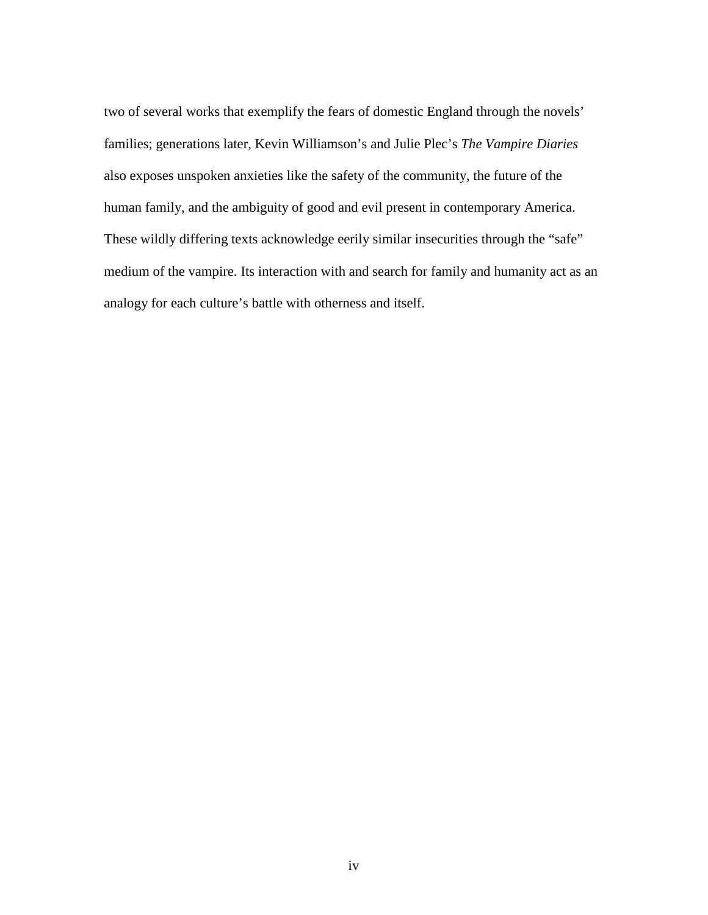two of several works that exemplify the fears of domestic England through the novels' families; generations later, Kevin Williamson's and Julie Plec's *The Vampire Diaries* also exposes unspoken anxieties like the safety of the community, the future of the human family, and the ambiguity of good and evil present in contemporary America. These wildly differing texts acknowledge eerily similar insecurities through the "safe" medium of the vampire. Its interaction with and search for family and humanity act as an analogy for each culture's battle with otherness and itself.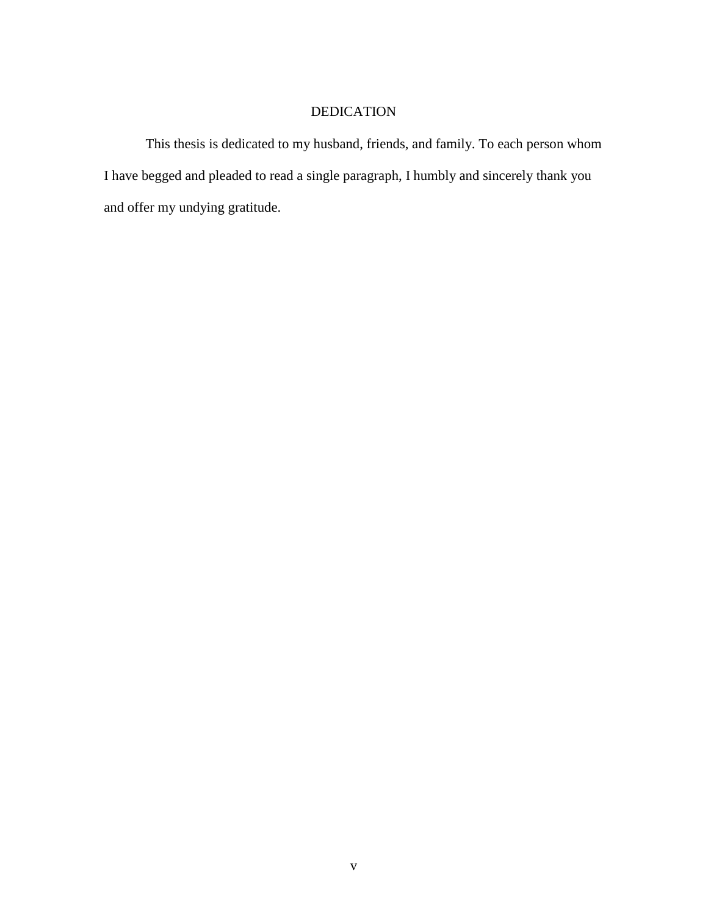### DEDICATION

This thesis is dedicated to my husband, friends, and family. To each person whom I have begged and pleaded to read a single paragraph, I humbly and sincerely thank you and offer my undying gratitude.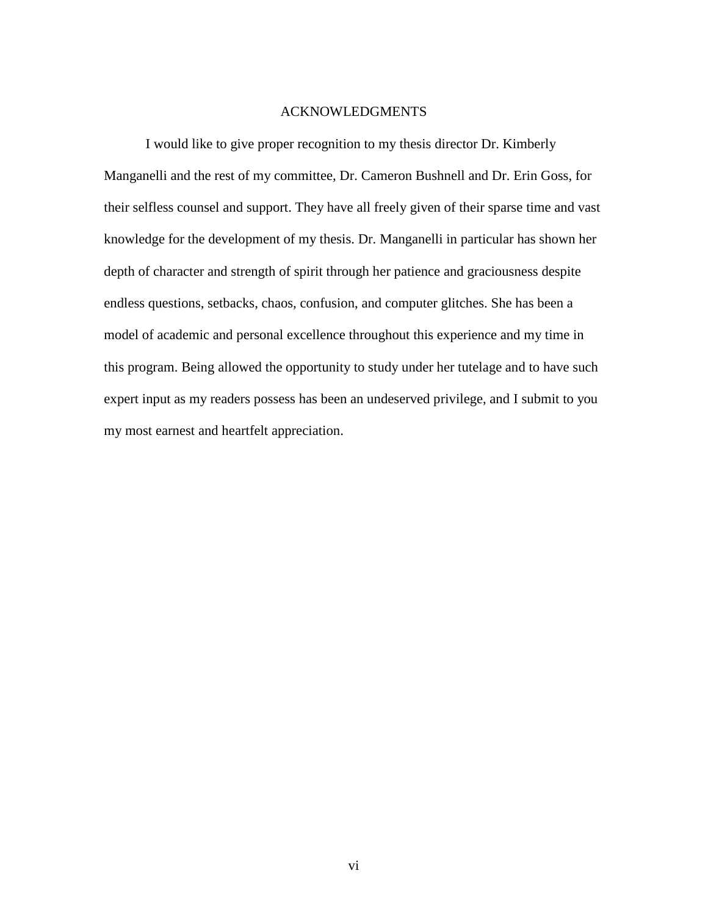### ACKNOWLEDGMENTS

I would like to give proper recognition to my thesis director Dr. Kimberly Manganelli and the rest of my committee, Dr. Cameron Bushnell and Dr. Erin Goss, for their selfless counsel and support. They have all freely given of their sparse time and vast knowledge for the development of my thesis. Dr. Manganelli in particular has shown her depth of character and strength of spirit through her patience and graciousness despite endless questions, setbacks, chaos, confusion, and computer glitches. She has been a model of academic and personal excellence throughout this experience and my time in this program. Being allowed the opportunity to study under her tutelage and to have such expert input as my readers possess has been an undeserved privilege, and I submit to you my most earnest and heartfelt appreciation.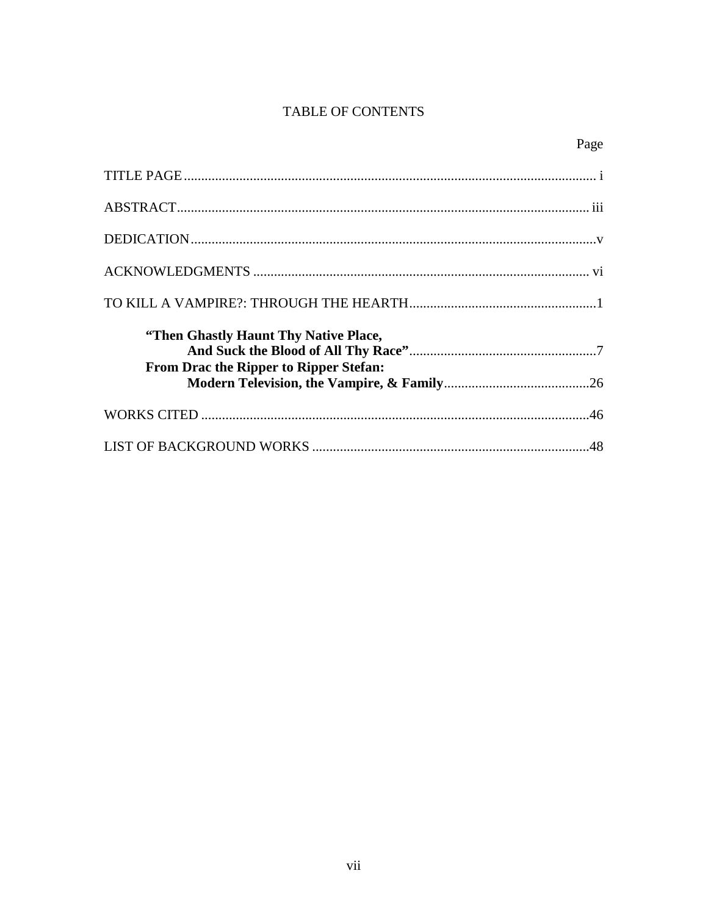## TABLE OF CONTENTS

| "Then Ghastly Haunt Thy Native Place,<br>From Drac the Ripper to Ripper Stefan: |  |
|---------------------------------------------------------------------------------|--|
|                                                                                 |  |
|                                                                                 |  |
|                                                                                 |  |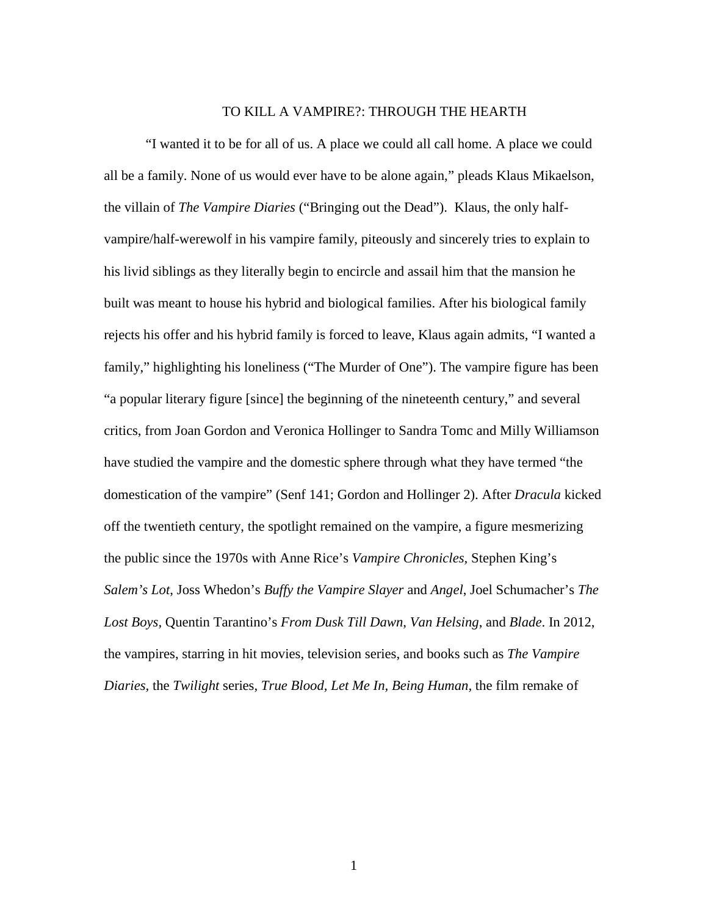### TO KILL A VAMPIRE?: THROUGH THE HEARTH

"I wanted it to be for all of us. A place we could all call home. A place we could all be a family. None of us would ever have to be alone again," pleads Klaus Mikaelson, the villain of *The Vampire Diaries* ("Bringing out the Dead"). Klaus, the only halfvampire/half-werewolf in his vampire family, piteously and sincerely tries to explain to his livid siblings as they literally begin to encircle and assail him that the mansion he built was meant to house his hybrid and biological families. After his biological family rejects his offer and his hybrid family is forced to leave, Klaus again admits, "I wanted a family," highlighting his loneliness ("The Murder of One"). The vampire figure has been "a popular literary figure [since] the beginning of the nineteenth century," and several critics, from Joan Gordon and Veronica Hollinger to Sandra Tomc and Milly Williamson have studied the vampire and the domestic sphere through what they have termed "the domestication of the vampire" (Senf 141; Gordon and Hollinger 2). After *Dracula* kicked off the twentieth century, the spotlight remained on the vampire, a figure mesmerizing the public since the 1970s with Anne Rice's *Vampire Chronicles,* Stephen King's *Salem's Lot*, Joss Whedon's *Buffy the Vampire Slayer* and *Angel*, Joel Schumacher's *The Lost Boys,* Quentin Tarantino's *From Dusk Till Dawn*, *Van Helsing*, and *Blade*. In 2012, the vampires, starring in hit movies, television series, and books such as *The Vampire Diaries,* the *Twilight* series, *True Blood, Let Me In, Being Human,* the film remake of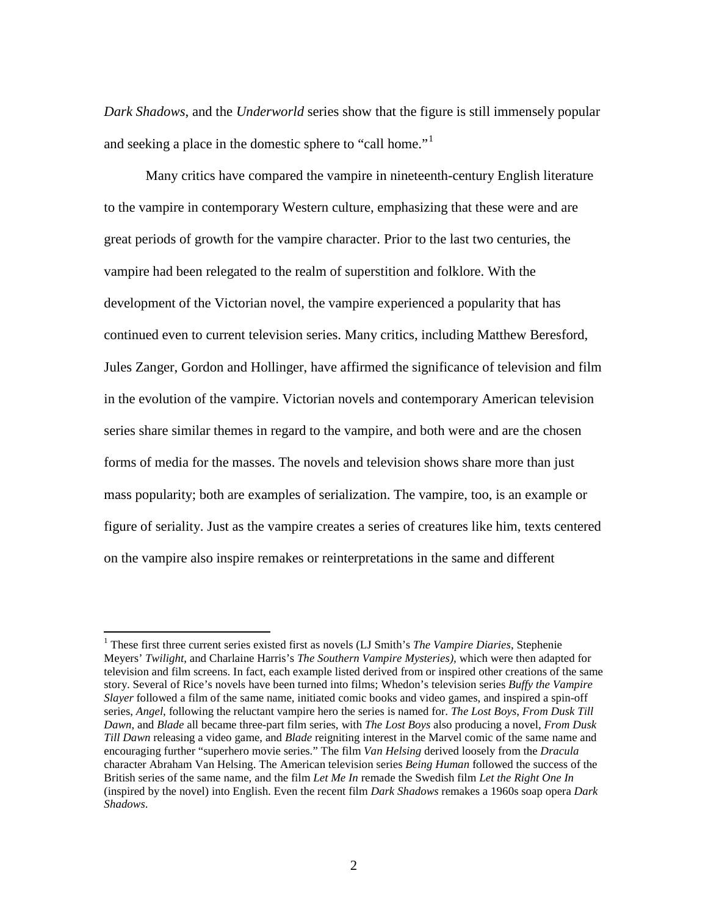*Dark Shadows*, and the *Underworld* series show that the figure is still immensely popular and seeking a place in the domestic sphere to "call home."<sup>[1](#page-9-0)</sup>

Many critics have compared the vampire in nineteenth-century English literature to the vampire in contemporary Western culture, emphasizing that these were and are great periods of growth for the vampire character. Prior to the last two centuries, the vampire had been relegated to the realm of superstition and folklore. With the development of the Victorian novel, the vampire experienced a popularity that has continued even to current television series. Many critics, including Matthew Beresford, Jules Zanger, Gordon and Hollinger, have affirmed the significance of television and film in the evolution of the vampire. Victorian novels and contemporary American television series share similar themes in regard to the vampire, and both were and are the chosen forms of media for the masses. The novels and television shows share more than just mass popularity; both are examples of serialization. The vampire, too, is an example or figure of seriality. Just as the vampire creates a series of creatures like him, texts centered on the vampire also inspire remakes or reinterpretations in the same and different

<span id="page-9-0"></span><sup>1</sup> These first three current series existed first as novels (LJ Smith's *The Vampire Diaries*, Stephenie Meyers' *Twilight*, and Charlaine Harris's *The Southern Vampire Mysteries),* which were then adapted for television and film screens. In fact, each example listed derived from or inspired other creations of the same story. Several of Rice's novels have been turned into films; Whedon's television series *Buffy the Vampire Slayer* followed a film of the same name, initiated comic books and video games, and inspired a spin-off series, *Angel*, following the reluctant vampire hero the series is named for. *The Lost Boys*, *From Dusk Till Dawn*, and *Blade* all became three-part film series, with *The Lost Boys* also producing a novel, *From Dusk Till Dawn* releasing a video game, and *Blade* reigniting interest in the Marvel comic of the same name and encouraging further "superhero movie series." The film *Van Helsing* derived loosely from the *Dracula*  character Abraham Van Helsing. The American television series *Being Human* followed the success of the British series of the same name, and the film *Let Me In* remade the Swedish film *Let the Right One In*  (inspired by the novel) into English. Even the recent film *Dark Shadows* remakes a 1960s soap opera *Dark Shadows*.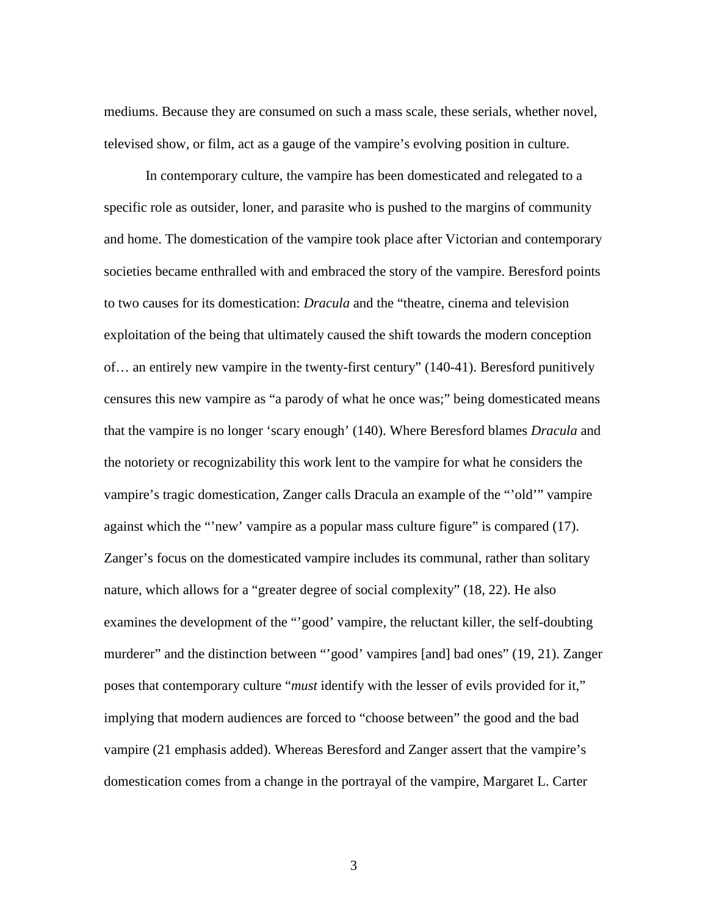mediums. Because they are consumed on such a mass scale, these serials, whether novel, televised show, or film, act as a gauge of the vampire's evolving position in culture.

In contemporary culture, the vampire has been domesticated and relegated to a specific role as outsider, loner, and parasite who is pushed to the margins of community and home. The domestication of the vampire took place after Victorian and contemporary societies became enthralled with and embraced the story of the vampire. Beresford points to two causes for its domestication: *Dracula* and the "theatre, cinema and television exploitation of the being that ultimately caused the shift towards the modern conception of… an entirely new vampire in the twenty-first century" (140-41). Beresford punitively censures this new vampire as "a parody of what he once was;" being domesticated means that the vampire is no longer 'scary enough' (140). Where Beresford blames *Dracula* and the notoriety or recognizability this work lent to the vampire for what he considers the vampire's tragic domestication, Zanger calls Dracula an example of the "'old'" vampire against which the "'new' vampire as a popular mass culture figure" is compared (17). Zanger's focus on the domesticated vampire includes its communal, rather than solitary nature, which allows for a "greater degree of social complexity" (18, 22). He also examines the development of the "'good' vampire, the reluctant killer, the self-doubting murderer" and the distinction between "'good' vampires [and] bad ones" (19, 21). Zanger poses that contemporary culture "*must* identify with the lesser of evils provided for it," implying that modern audiences are forced to "choose between" the good and the bad vampire (21 emphasis added). Whereas Beresford and Zanger assert that the vampire's domestication comes from a change in the portrayal of the vampire, Margaret L. Carter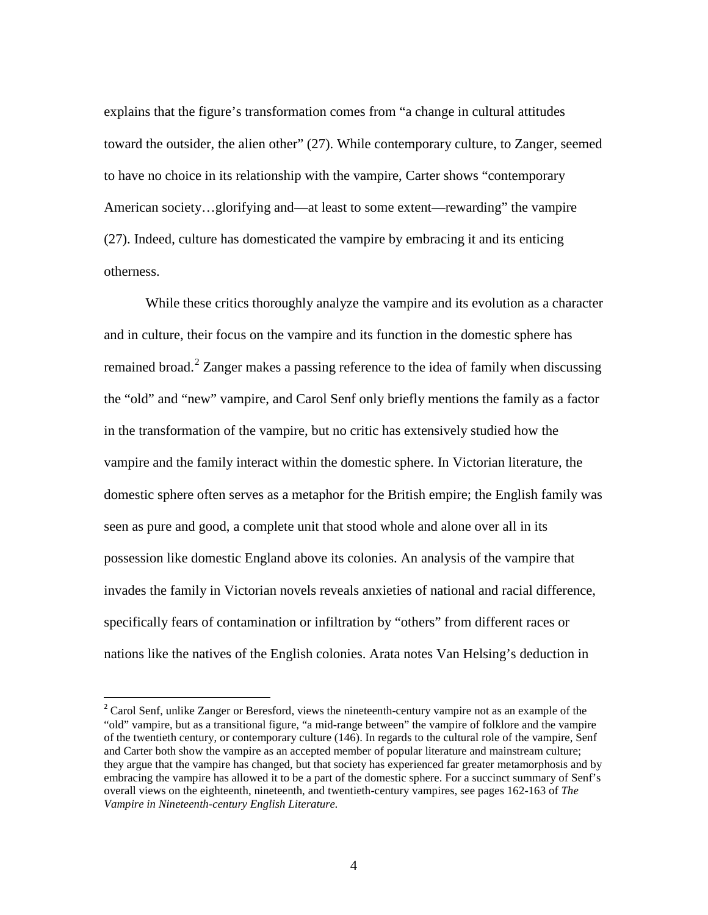explains that the figure's transformation comes from "a change in cultural attitudes toward the outsider, the alien other" (27). While contemporary culture, to Zanger, seemed to have no choice in its relationship with the vampire, Carter shows "contemporary American society…glorifying and—at least to some extent—rewarding" the vampire (27). Indeed, culture has domesticated the vampire by embracing it and its enticing otherness.

While these critics thoroughly analyze the vampire and its evolution as a character and in culture, their focus on the vampire and its function in the domestic sphere has remained broad.<sup>[2](#page-11-0)</sup> Zanger makes a passing reference to the idea of family when discussing the "old" and "new" vampire, and Carol Senf only briefly mentions the family as a factor in the transformation of the vampire, but no critic has extensively studied how the vampire and the family interact within the domestic sphere. In Victorian literature, the domestic sphere often serves as a metaphor for the British empire; the English family was seen as pure and good, a complete unit that stood whole and alone over all in its possession like domestic England above its colonies. An analysis of the vampire that invades the family in Victorian novels reveals anxieties of national and racial difference, specifically fears of contamination or infiltration by "others" from different races or nations like the natives of the English colonies. Arata notes Van Helsing's deduction in

<span id="page-11-0"></span><sup>&</sup>lt;sup>2</sup> Carol Senf, unlike Zanger or Beresford, views the nineteenth-century vampire not as an example of the "old" vampire, but as a transitional figure, "a mid-range between" the vampire of folklore and the vampire of the twentieth century, or contemporary culture (146). In regards to the cultural role of the vampire, Senf and Carter both show the vampire as an accepted member of popular literature and mainstream culture; they argue that the vampire has changed, but that society has experienced far greater metamorphosis and by embracing the vampire has allowed it to be a part of the domestic sphere. For a succinct summary of Senf's overall views on the eighteenth, nineteenth, and twentieth-century vampires, see pages 162-163 of *The Vampire in Nineteenth-century English Literature.*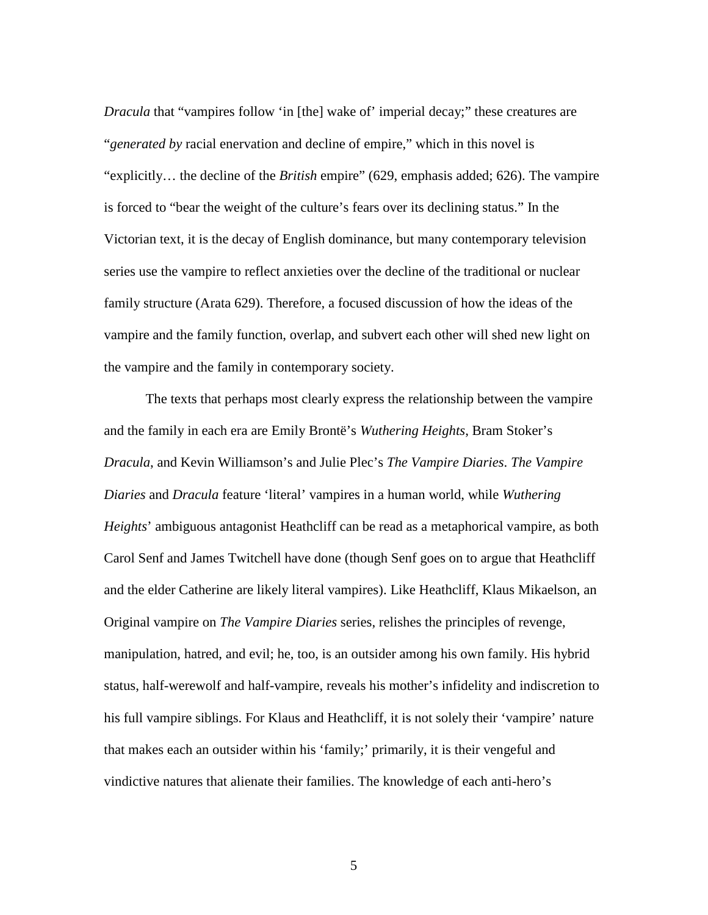*Dracula* that "vampires follow 'in [the] wake of' imperial decay;" these creatures are "*generated by* racial enervation and decline of empire," which in this novel is "explicitly… the decline of the *British* empire" (629, emphasis added; 626). The vampire is forced to "bear the weight of the culture's fears over its declining status." In the Victorian text, it is the decay of English dominance, but many contemporary television series use the vampire to reflect anxieties over the decline of the traditional or nuclear family structure (Arata 629). Therefore, a focused discussion of how the ideas of the vampire and the family function, overlap, and subvert each other will shed new light on the vampire and the family in contemporary society.

The texts that perhaps most clearly express the relationship between the vampire and the family in each era are Emily Brontë's *Wuthering Heights*, Bram Stoker's *Dracula*, and Kevin Williamson's and Julie Plec's *The Vampire Diaries*. *The Vampire Diaries* and *Dracula* feature 'literal' vampires in a human world, while *Wuthering Heights*' ambiguous antagonist Heathcliff can be read as a metaphorical vampire, as both Carol Senf and James Twitchell have done (though Senf goes on to argue that Heathcliff and the elder Catherine are likely literal vampires). Like Heathcliff, Klaus Mikaelson, an Original vampire on *The Vampire Diaries* series, relishes the principles of revenge, manipulation, hatred, and evil; he, too, is an outsider among his own family. His hybrid status, half-werewolf and half-vampire, reveals his mother's infidelity and indiscretion to his full vampire siblings. For Klaus and Heathcliff, it is not solely their 'vampire' nature that makes each an outsider within his 'family;' primarily, it is their vengeful and vindictive natures that alienate their families. The knowledge of each anti-hero's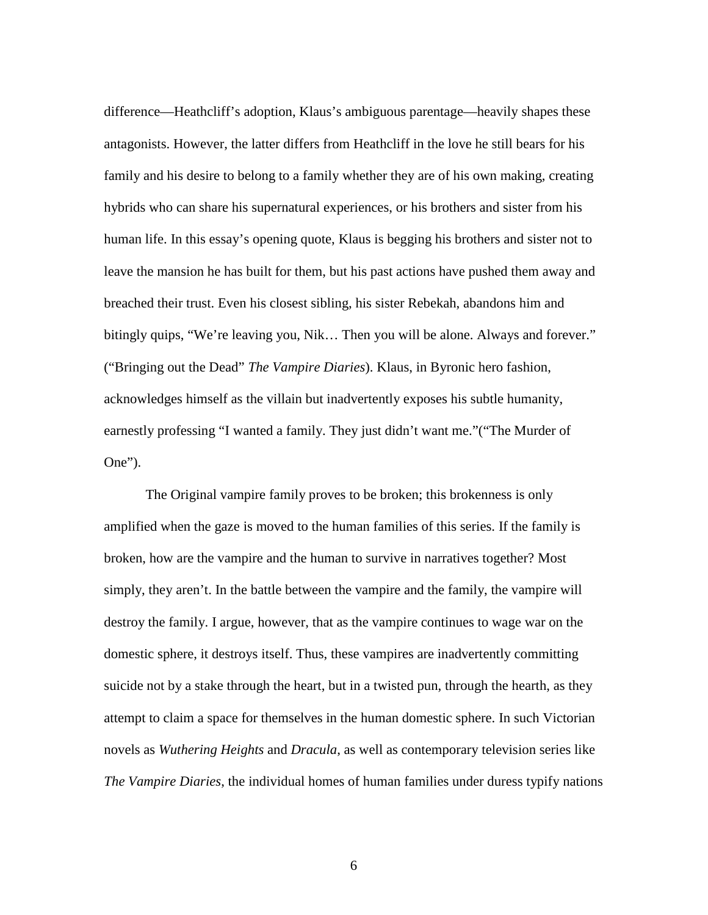difference—Heathcliff's adoption, Klaus's ambiguous parentage—heavily shapes these antagonists. However, the latter differs from Heathcliff in the love he still bears for his family and his desire to belong to a family whether they are of his own making, creating hybrids who can share his supernatural experiences, or his brothers and sister from his human life. In this essay's opening quote, Klaus is begging his brothers and sister not to leave the mansion he has built for them, but his past actions have pushed them away and breached their trust. Even his closest sibling, his sister Rebekah, abandons him and bitingly quips, "We're leaving you, Nik… Then you will be alone. Always and forever." ("Bringing out the Dead" *The Vampire Diaries*). Klaus, in Byronic hero fashion, acknowledges himself as the villain but inadvertently exposes his subtle humanity, earnestly professing "I wanted a family. They just didn't want me."("The Murder of One").

The Original vampire family proves to be broken; this brokenness is only amplified when the gaze is moved to the human families of this series. If the family is broken, how are the vampire and the human to survive in narratives together? Most simply, they aren't. In the battle between the vampire and the family, the vampire will destroy the family. I argue, however, that as the vampire continues to wage war on the domestic sphere, it destroys itself. Thus, these vampires are inadvertently committing suicide not by a stake through the heart, but in a twisted pun, through the hearth, as they attempt to claim a space for themselves in the human domestic sphere. In such Victorian novels as *Wuthering Heights* and *Dracula*, as well as contemporary television series like *The Vampire Diaries*, the individual homes of human families under duress typify nations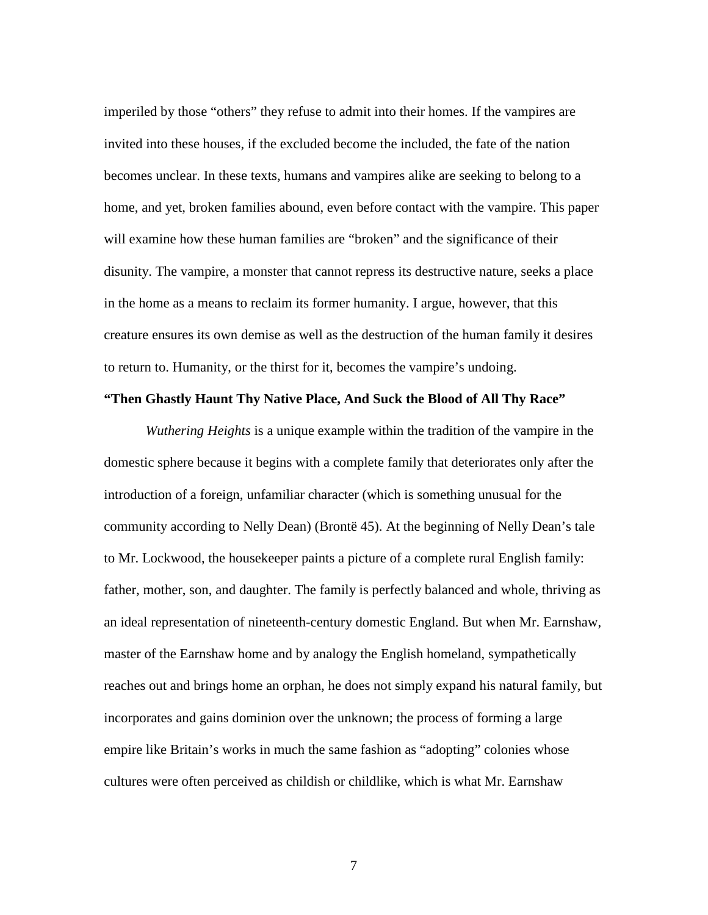imperiled by those "others" they refuse to admit into their homes. If the vampires are invited into these houses, if the excluded become the included, the fate of the nation becomes unclear. In these texts, humans and vampires alike are seeking to belong to a home, and yet, broken families abound, even before contact with the vampire. This paper will examine how these human families are "broken" and the significance of their disunity. The vampire, a monster that cannot repress its destructive nature, seeks a place in the home as a means to reclaim its former humanity. I argue, however, that this creature ensures its own demise as well as the destruction of the human family it desires to return to. Humanity, or the thirst for it, becomes the vampire's undoing.

### **"Then Ghastly Haunt Thy Native Place, And Suck the Blood of All Thy Race"**

*Wuthering Heights* is a unique example within the tradition of the vampire in the domestic sphere because it begins with a complete family that deteriorates only after the introduction of a foreign, unfamiliar character (which is something unusual for the community according to Nelly Dean) (Brontë 45). At the beginning of Nelly Dean's tale to Mr. Lockwood, the housekeeper paints a picture of a complete rural English family: father, mother, son, and daughter. The family is perfectly balanced and whole, thriving as an ideal representation of nineteenth-century domestic England. But when Mr. Earnshaw, master of the Earnshaw home and by analogy the English homeland, sympathetically reaches out and brings home an orphan, he does not simply expand his natural family, but incorporates and gains dominion over the unknown; the process of forming a large empire like Britain's works in much the same fashion as "adopting" colonies whose cultures were often perceived as childish or childlike, which is what Mr. Earnshaw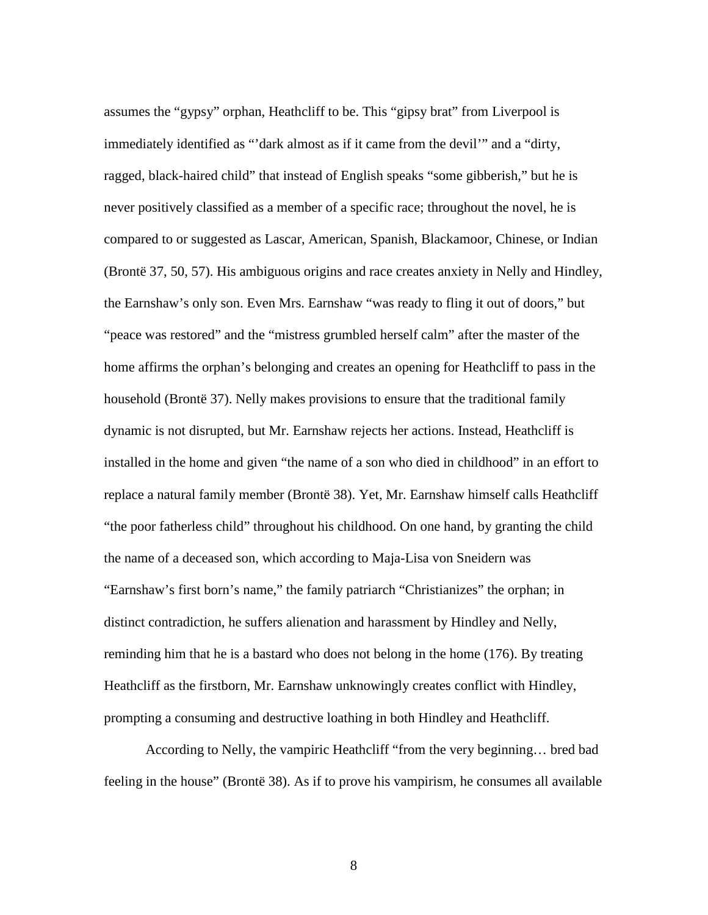assumes the "gypsy" orphan, Heathcliff to be. This "gipsy brat" from Liverpool is immediately identified as "'dark almost as if it came from the devil'" and a "dirty, ragged, black-haired child" that instead of English speaks "some gibberish," but he is never positively classified as a member of a specific race; throughout the novel, he is compared to or suggested as Lascar, American, Spanish, Blackamoor, Chinese, or Indian (Brontë 37, 50, 57). His ambiguous origins and race creates anxiety in Nelly and Hindley, the Earnshaw's only son. Even Mrs. Earnshaw "was ready to fling it out of doors," but "peace was restored" and the "mistress grumbled herself calm" after the master of the home affirms the orphan's belonging and creates an opening for Heathcliff to pass in the household (Brontë 37). Nelly makes provisions to ensure that the traditional family dynamic is not disrupted, but Mr. Earnshaw rejects her actions. Instead, Heathcliff is installed in the home and given "the name of a son who died in childhood" in an effort to replace a natural family member (Brontë 38). Yet, Mr. Earnshaw himself calls Heathcliff "the poor fatherless child" throughout his childhood. On one hand, by granting the child the name of a deceased son, which according to Maja-Lisa von Sneidern was "Earnshaw's first born's name," the family patriarch "Christianizes" the orphan; in distinct contradiction, he suffers alienation and harassment by Hindley and Nelly, reminding him that he is a bastard who does not belong in the home (176). By treating Heathcliff as the firstborn, Mr. Earnshaw unknowingly creates conflict with Hindley, prompting a consuming and destructive loathing in both Hindley and Heathcliff.

According to Nelly, the vampiric Heathcliff "from the very beginning… bred bad feeling in the house" (Brontë 38). As if to prove his vampirism, he consumes all available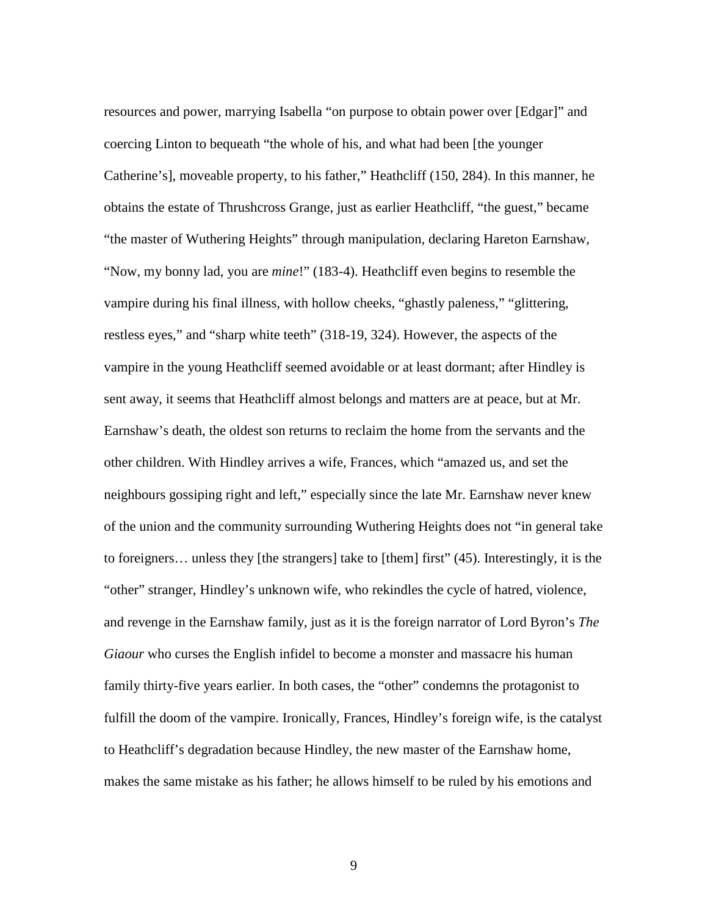resources and power, marrying Isabella "on purpose to obtain power over [Edgar]" and coercing Linton to bequeath "the whole of his, and what had been [the younger Catherine's], moveable property, to his father," Heathcliff (150, 284). In this manner, he obtains the estate of Thrushcross Grange, just as earlier Heathcliff, "the guest," became "the master of Wuthering Heights" through manipulation, declaring Hareton Earnshaw, "Now, my bonny lad, you are *mine*!" (183-4). Heathcliff even begins to resemble the vampire during his final illness, with hollow cheeks, "ghastly paleness," "glittering, restless eyes," and "sharp white teeth" (318-19, 324). However, the aspects of the vampire in the young Heathcliff seemed avoidable or at least dormant; after Hindley is sent away, it seems that Heathcliff almost belongs and matters are at peace, but at Mr. Earnshaw's death, the oldest son returns to reclaim the home from the servants and the other children. With Hindley arrives a wife, Frances, which "amazed us, and set the neighbours gossiping right and left," especially since the late Mr. Earnshaw never knew of the union and the community surrounding Wuthering Heights does not "in general take to foreigners… unless they [the strangers] take to [them] first" (45). Interestingly, it is the "other" stranger, Hindley's unknown wife, who rekindles the cycle of hatred, violence, and revenge in the Earnshaw family, just as it is the foreign narrator of Lord Byron's *The Giaour* who curses the English infidel to become a monster and massacre his human family thirty-five years earlier. In both cases, the "other" condemns the protagonist to fulfill the doom of the vampire. Ironically, Frances, Hindley's foreign wife, is the catalyst to Heathcliff's degradation because Hindley, the new master of the Earnshaw home, makes the same mistake as his father; he allows himself to be ruled by his emotions and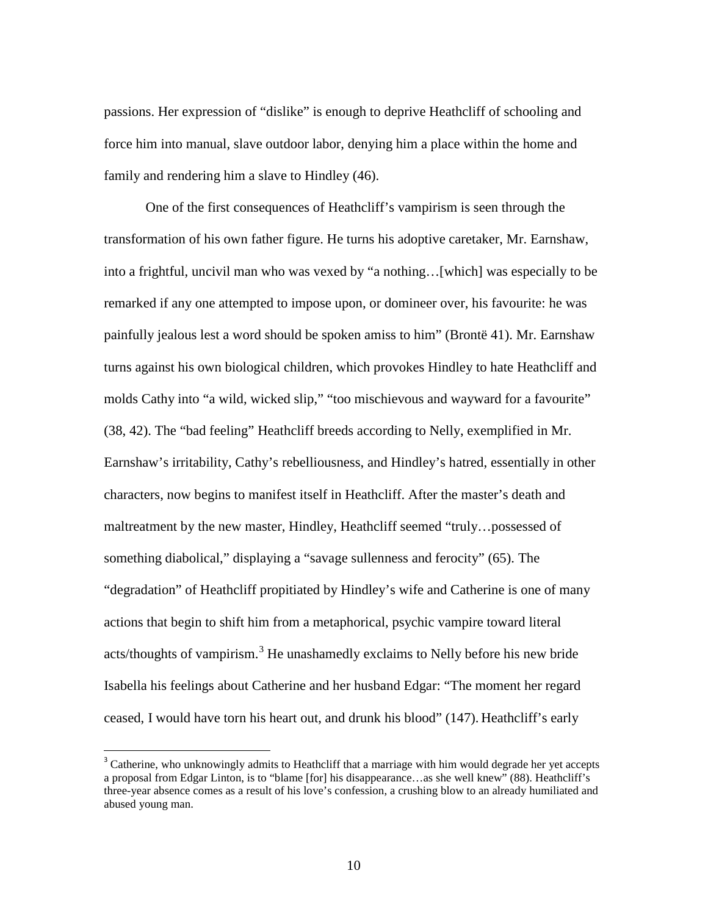passions. Her expression of "dislike" is enough to deprive Heathcliff of schooling and force him into manual, slave outdoor labor, denying him a place within the home and family and rendering him a slave to Hindley (46).

One of the first consequences of Heathcliff's vampirism is seen through the transformation of his own father figure. He turns his adoptive caretaker, Mr. Earnshaw, into a frightful, uncivil man who was vexed by "a nothing…[which] was especially to be remarked if any one attempted to impose upon, or domineer over, his favourite: he was painfully jealous lest a word should be spoken amiss to him" (Brontë 41). Mr. Earnshaw turns against his own biological children, which provokes Hindley to hate Heathcliff and molds Cathy into "a wild, wicked slip," "too mischievous and wayward for a favourite" (38, 42). The "bad feeling" Heathcliff breeds according to Nelly, exemplified in Mr. Earnshaw's irritability, Cathy's rebelliousness, and Hindley's hatred, essentially in other characters, now begins to manifest itself in Heathcliff. After the master's death and maltreatment by the new master, Hindley, Heathcliff seemed "truly…possessed of something diabolical," displaying a "savage sullenness and ferocity" (65). The "degradation" of Heathcliff propitiated by Hindley's wife and Catherine is one of many actions that begin to shift him from a metaphorical, psychic vampire toward literal acts/thoughts of vampirism.<sup>[3](#page-17-0)</sup> He unashamedly exclaims to Nelly before his new bride Isabella his feelings about Catherine and her husband Edgar: "The moment her regard ceased, I would have torn his heart out, and drunk his blood" (147). Heathcliff's early

<span id="page-17-0"></span><sup>&</sup>lt;sup>3</sup> Catherine, who unknowingly admits to Heathcliff that a marriage with him would degrade her yet accepts a proposal from Edgar Linton, is to "blame [for] his disappearance…as she well knew" (88). Heathcliff's three-year absence comes as a result of his love's confession, a crushing blow to an already humiliated and abused young man.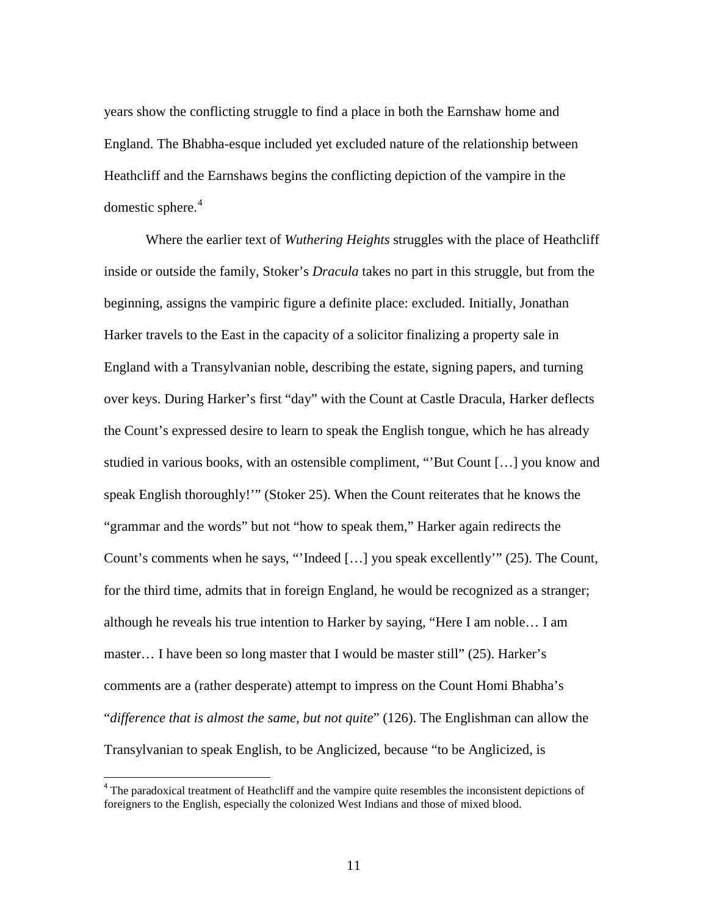years show the conflicting struggle to find a place in both the Earnshaw home and England. The Bhabha-esque included yet excluded nature of the relationship between Heathcliff and the Earnshaws begins the conflicting depiction of the vampire in the domestic sphere. [4](#page-18-0)

Where the earlier text of *Wuthering Heights* struggles with the place of Heathcliff inside or outside the family, Stoker's *Dracula* takes no part in this struggle, but from the beginning, assigns the vampiric figure a definite place: excluded. Initially, Jonathan Harker travels to the East in the capacity of a solicitor finalizing a property sale in England with a Transylvanian noble, describing the estate, signing papers, and turning over keys. During Harker's first "day" with the Count at Castle Dracula, Harker deflects the Count's expressed desire to learn to speak the English tongue, which he has already studied in various books, with an ostensible compliment, "'But Count […] you know and speak English thoroughly!'" (Stoker 25). When the Count reiterates that he knows the "grammar and the words" but not "how to speak them," Harker again redirects the Count's comments when he says, "'Indeed […] you speak excellently'" (25). The Count, for the third time, admits that in foreign England, he would be recognized as a stranger; although he reveals his true intention to Harker by saying, "Here I am noble… I am master… I have been so long master that I would be master still" (25). Harker's comments are a (rather desperate) attempt to impress on the Count Homi Bhabha's "*difference that is almost the same, but not quite*" (126). The Englishman can allow the Transylvanian to speak English, to be Anglicized, because "to be Anglicized, is

<span id="page-18-0"></span><sup>&</sup>lt;sup>4</sup> The paradoxical treatment of Heathcliff and the vampire quite resembles the inconsistent depictions of foreigners to the English, especially the colonized West Indians and those of mixed blood.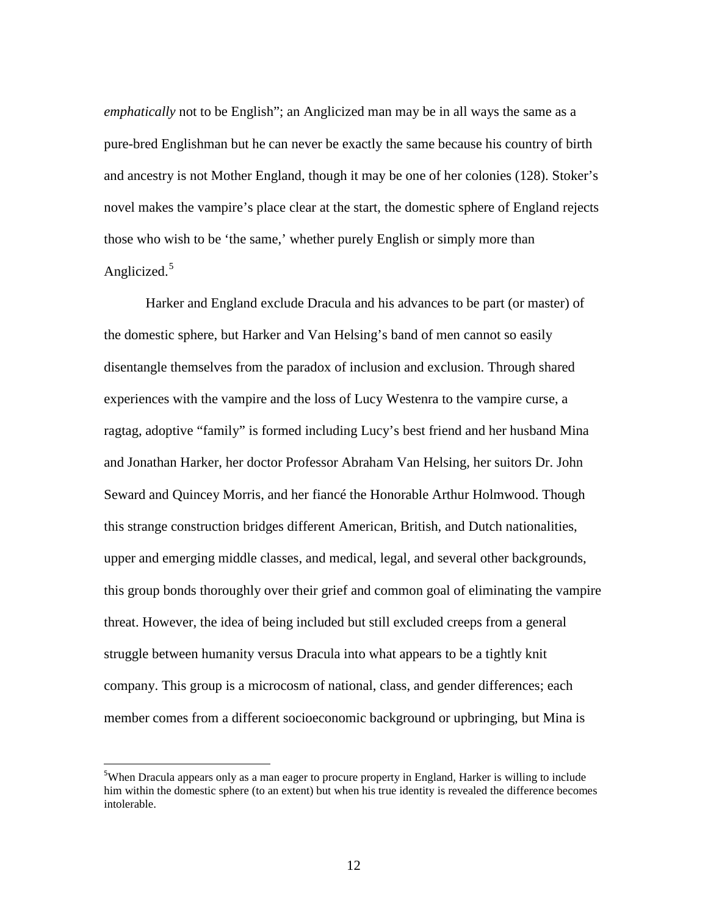*emphatically* not to be English"; an Anglicized man may be in all ways the same as a pure-bred Englishman but he can never be exactly the same because his country of birth and ancestry is not Mother England, though it may be one of her colonies (128). Stoker's novel makes the vampire's place clear at the start, the domestic sphere of England rejects those who wish to be 'the same,' whether purely English or simply more than Anglicized.<sup>[5](#page-19-0)</sup>

Harker and England exclude Dracula and his advances to be part (or master) of the domestic sphere, but Harker and Van Helsing's band of men cannot so easily disentangle themselves from the paradox of inclusion and exclusion. Through shared experiences with the vampire and the loss of Lucy Westenra to the vampire curse, a ragtag, adoptive "family" is formed including Lucy's best friend and her husband Mina and Jonathan Harker, her doctor Professor Abraham Van Helsing, her suitors Dr. John Seward and Quincey Morris, and her fiancé the Honorable Arthur Holmwood. Though this strange construction bridges different American, British, and Dutch nationalities, upper and emerging middle classes, and medical, legal, and several other backgrounds, this group bonds thoroughly over their grief and common goal of eliminating the vampire threat. However, the idea of being included but still excluded creeps from a general struggle between humanity versus Dracula into what appears to be a tightly knit company. This group is a microcosm of national, class, and gender differences; each member comes from a different socioeconomic background or upbringing, but Mina is

<span id="page-19-0"></span><sup>-&</sup>lt;br>5 <sup>5</sup>When Dracula appears only as a man eager to procure property in England, Harker is willing to include him within the domestic sphere (to an extent) but when his true identity is revealed the difference becomes intolerable.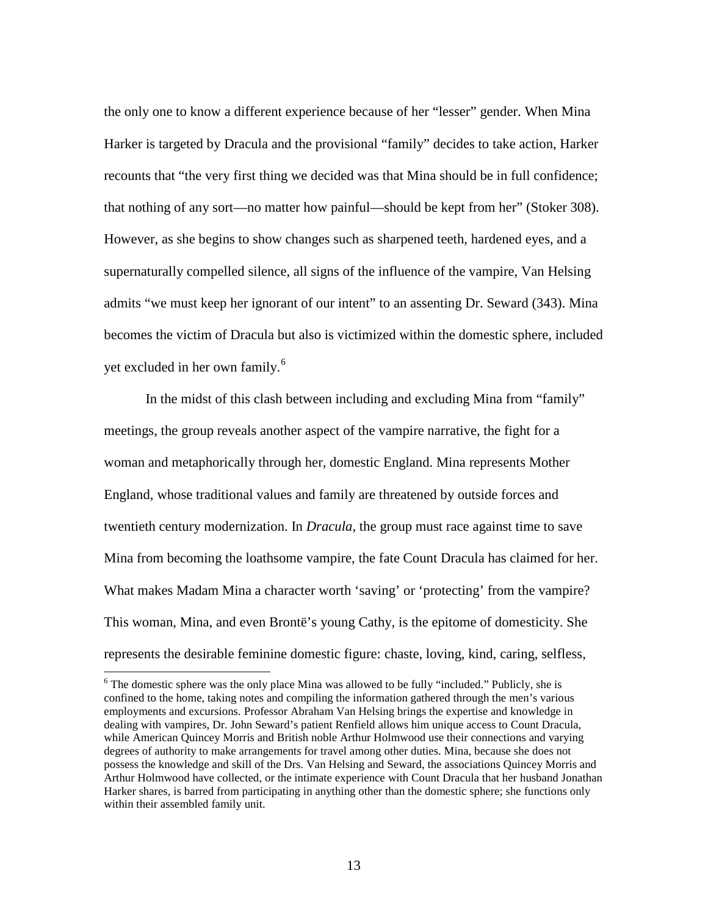the only one to know a different experience because of her "lesser" gender. When Mina Harker is targeted by Dracula and the provisional "family" decides to take action, Harker recounts that "the very first thing we decided was that Mina should be in full confidence; that nothing of any sort—no matter how painful—should be kept from her" (Stoker 308). However, as she begins to show changes such as sharpened teeth, hardened eyes, and a supernaturally compelled silence, all signs of the influence of the vampire, Van Helsing admits "we must keep her ignorant of our intent" to an assenting Dr. Seward (343). Mina becomes the victim of Dracula but also is victimized within the domestic sphere, included yet excluded in her own family.<sup>[6](#page-20-0)</sup>

In the midst of this clash between including and excluding Mina from "family" meetings, the group reveals another aspect of the vampire narrative, the fight for a woman and metaphorically through her, domestic England. Mina represents Mother England, whose traditional values and family are threatened by outside forces and twentieth century modernization. In *Dracula*, the group must race against time to save Mina from becoming the loathsome vampire, the fate Count Dracula has claimed for her. What makes Madam Mina a character worth 'saving' or 'protecting' from the vampire? This woman, Mina, and even Brontë's young Cathy, is the epitome of domesticity. She represents the desirable feminine domestic figure: chaste, loving, kind, caring, selfless,

<span id="page-20-0"></span><sup>&</sup>lt;sup>6</sup> The domestic sphere was the only place Mina was allowed to be fully "included." Publicly, she is confined to the home, taking notes and compiling the information gathered through the men's various employments and excursions. Professor Abraham Van Helsing brings the expertise and knowledge in dealing with vampires, Dr. John Seward's patient Renfield allows him unique access to Count Dracula, while American Quincey Morris and British noble Arthur Holmwood use their connections and varying degrees of authority to make arrangements for travel among other duties. Mina, because she does not possess the knowledge and skill of the Drs. Van Helsing and Seward, the associations Quincey Morris and Arthur Holmwood have collected, or the intimate experience with Count Dracula that her husband Jonathan Harker shares, is barred from participating in anything other than the domestic sphere; she functions only within their assembled family unit.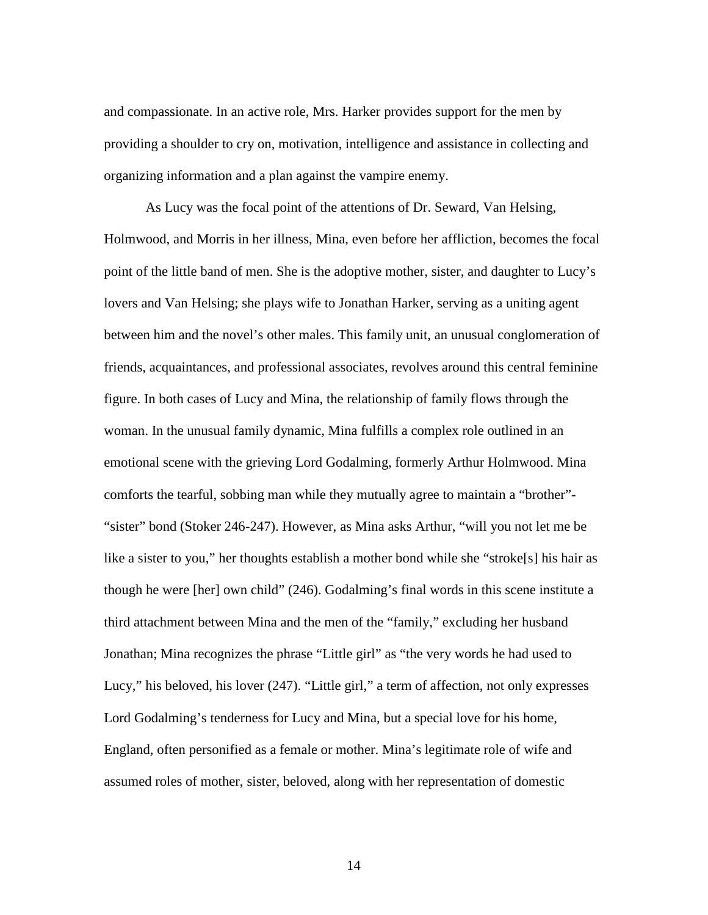and compassionate. In an active role, Mrs. Harker provides support for the men by providing a shoulder to cry on, motivation, intelligence and assistance in collecting and organizing information and a plan against the vampire enemy.

As Lucy was the focal point of the attentions of Dr. Seward, Van Helsing, Holmwood, and Morris in her illness, Mina, even before her affliction, becomes the focal point of the little band of men. She is the adoptive mother, sister, and daughter to Lucy's lovers and Van Helsing; she plays wife to Jonathan Harker, serving as a uniting agent between him and the novel's other males. This family unit, an unusual conglomeration of friends, acquaintances, and professional associates, revolves around this central feminine figure. In both cases of Lucy and Mina, the relationship of family flows through the woman. In the unusual family dynamic, Mina fulfills a complex role outlined in an emotional scene with the grieving Lord Godalming, formerly Arthur Holmwood. Mina comforts the tearful, sobbing man while they mutually agree to maintain a "brother"- "sister" bond (Stoker 246-247). However, as Mina asks Arthur, "will you not let me be like a sister to you," her thoughts establish a mother bond while she "stroke[s] his hair as though he were [her] own child" (246). Godalming's final words in this scene institute a third attachment between Mina and the men of the "family," excluding her husband Jonathan; Mina recognizes the phrase "Little girl" as "the very words he had used to Lucy," his beloved, his lover (247). "Little girl," a term of affection, not only expresses Lord Godalming's tenderness for Lucy and Mina, but a special love for his home, England, often personified as a female or mother. Mina's legitimate role of wife and assumed roles of mother, sister, beloved, along with her representation of domestic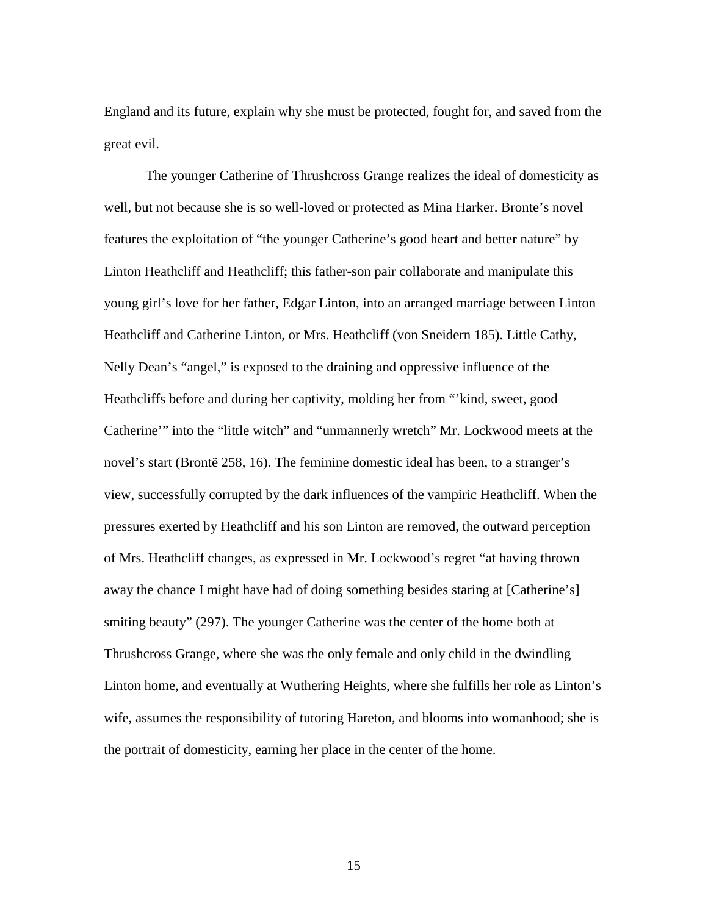England and its future, explain why she must be protected, fought for, and saved from the great evil.

The younger Catherine of Thrushcross Grange realizes the ideal of domesticity as well, but not because she is so well-loved or protected as Mina Harker. Bronte's novel features the exploitation of "the younger Catherine's good heart and better nature" by Linton Heathcliff and Heathcliff; this father-son pair collaborate and manipulate this young girl's love for her father, Edgar Linton, into an arranged marriage between Linton Heathcliff and Catherine Linton, or Mrs. Heathcliff (von Sneidern 185). Little Cathy, Nelly Dean's "angel," is exposed to the draining and oppressive influence of the Heathcliffs before and during her captivity, molding her from "'kind, sweet, good Catherine'" into the "little witch" and "unmannerly wretch" Mr. Lockwood meets at the novel's start (Brontë 258, 16). The feminine domestic ideal has been, to a stranger's view, successfully corrupted by the dark influences of the vampiric Heathcliff. When the pressures exerted by Heathcliff and his son Linton are removed, the outward perception of Mrs. Heathcliff changes, as expressed in Mr. Lockwood's regret "at having thrown away the chance I might have had of doing something besides staring at [Catherine's] smiting beauty" (297). The younger Catherine was the center of the home both at Thrushcross Grange, where she was the only female and only child in the dwindling Linton home, and eventually at Wuthering Heights, where she fulfills her role as Linton's wife, assumes the responsibility of tutoring Hareton, and blooms into womanhood; she is the portrait of domesticity, earning her place in the center of the home.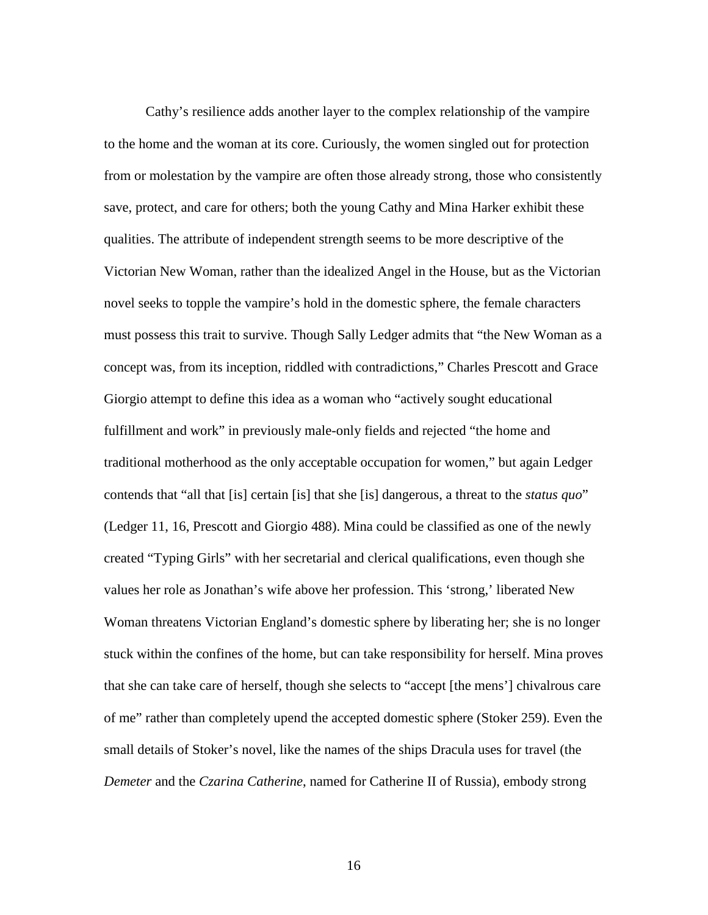Cathy's resilience adds another layer to the complex relationship of the vampire to the home and the woman at its core. Curiously, the women singled out for protection from or molestation by the vampire are often those already strong, those who consistently save, protect, and care for others; both the young Cathy and Mina Harker exhibit these qualities. The attribute of independent strength seems to be more descriptive of the Victorian New Woman, rather than the idealized Angel in the House, but as the Victorian novel seeks to topple the vampire's hold in the domestic sphere, the female characters must possess this trait to survive. Though Sally Ledger admits that "the New Woman as a concept was, from its inception, riddled with contradictions," Charles Prescott and Grace Giorgio attempt to define this idea as a woman who "actively sought educational fulfillment and work" in previously male-only fields and rejected "the home and traditional motherhood as the only acceptable occupation for women," but again Ledger contends that "all that [is] certain [is] that she [is] dangerous, a threat to the *status quo*" (Ledger 11, 16, Prescott and Giorgio 488). Mina could be classified as one of the newly created "Typing Girls" with her secretarial and clerical qualifications, even though she values her role as Jonathan's wife above her profession. This 'strong,' liberated New Woman threatens Victorian England's domestic sphere by liberating her; she is no longer stuck within the confines of the home, but can take responsibility for herself. Mina proves that she can take care of herself, though she selects to "accept [the mens'] chivalrous care of me" rather than completely upend the accepted domestic sphere (Stoker 259). Even the small details of Stoker's novel, like the names of the ships Dracula uses for travel (the *Demeter* and the *Czarina Catherine*, named for Catherine II of Russia), embody strong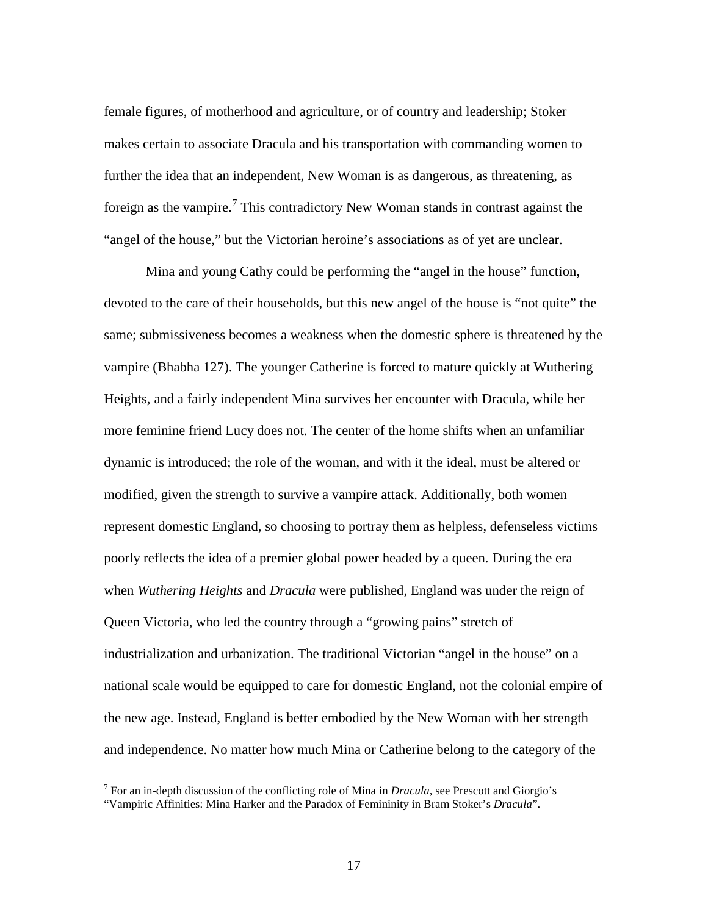female figures, of motherhood and agriculture, or of country and leadership; Stoker makes certain to associate Dracula and his transportation with commanding women to further the idea that an independent, New Woman is as dangerous, as threatening, as foreign as the vampire.<sup>[7](#page-24-0)</sup> This contradictory New Woman stands in contrast against the "angel of the house," but the Victorian heroine's associations as of yet are unclear.

Mina and young Cathy could be performing the "angel in the house" function, devoted to the care of their households, but this new angel of the house is "not quite" the same; submissiveness becomes a weakness when the domestic sphere is threatened by the vampire (Bhabha 127). The younger Catherine is forced to mature quickly at Wuthering Heights, and a fairly independent Mina survives her encounter with Dracula, while her more feminine friend Lucy does not. The center of the home shifts when an unfamiliar dynamic is introduced; the role of the woman, and with it the ideal, must be altered or modified, given the strength to survive a vampire attack. Additionally, both women represent domestic England, so choosing to portray them as helpless, defenseless victims poorly reflects the idea of a premier global power headed by a queen. During the era when *Wuthering Heights* and *Dracula* were published, England was under the reign of Queen Victoria, who led the country through a "growing pains" stretch of industrialization and urbanization. The traditional Victorian "angel in the house" on a national scale would be equipped to care for domestic England, not the colonial empire of the new age. Instead, England is better embodied by the New Woman with her strength and independence. No matter how much Mina or Catherine belong to the category of the

<span id="page-24-0"></span><sup>7</sup> For an in-depth discussion of the conflicting role of Mina in *Dracula*, see Prescott and Giorgio's "Vampiric Affinities: Mina Harker and the Paradox of Femininity in Bram Stoker's *Dracula*".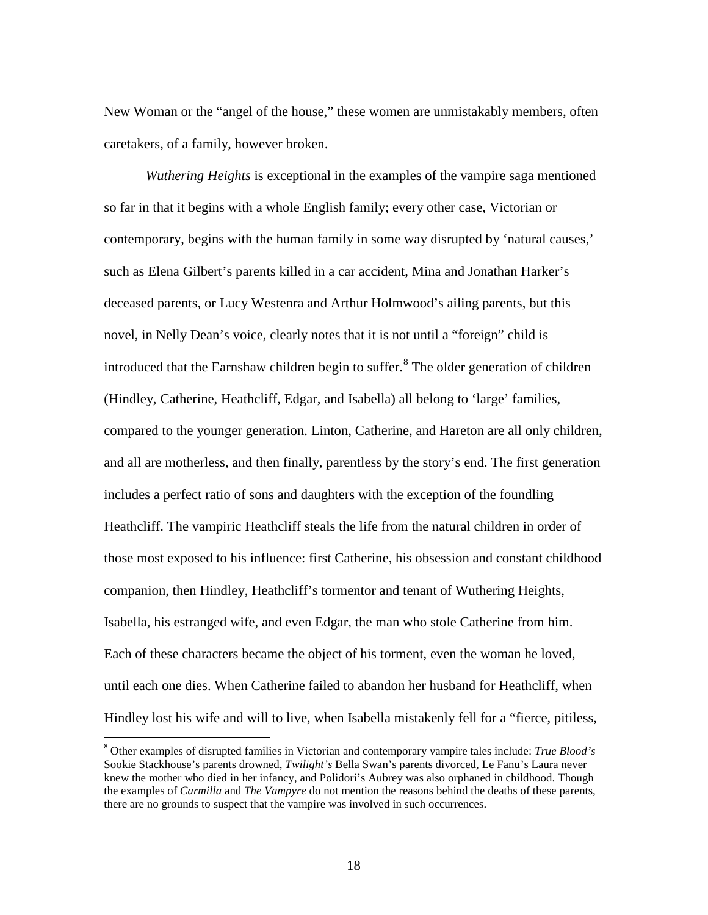New Woman or the "angel of the house," these women are unmistakably members, often caretakers, of a family, however broken.

*Wuthering Heights* is exceptional in the examples of the vampire saga mentioned so far in that it begins with a whole English family; every other case, Victorian or contemporary, begins with the human family in some way disrupted by 'natural causes,' such as Elena Gilbert's parents killed in a car accident, Mina and Jonathan Harker's deceased parents, or Lucy Westenra and Arthur Holmwood's ailing parents, but this novel, in Nelly Dean's voice, clearly notes that it is not until a "foreign" child is introduced that the Earnshaw children begin to suffer.<sup>[8](#page-25-0)</sup> The older generation of children (Hindley, Catherine, Heathcliff, Edgar, and Isabella) all belong to 'large' families, compared to the younger generation. Linton, Catherine, and Hareton are all only children, and all are motherless, and then finally, parentless by the story's end. The first generation includes a perfect ratio of sons and daughters with the exception of the foundling Heathcliff. The vampiric Heathcliff steals the life from the natural children in order of those most exposed to his influence: first Catherine, his obsession and constant childhood companion, then Hindley, Heathcliff's tormentor and tenant of Wuthering Heights, Isabella, his estranged wife, and even Edgar, the man who stole Catherine from him. Each of these characters became the object of his torment, even the woman he loved, until each one dies. When Catherine failed to abandon her husband for Heathcliff, when Hindley lost his wife and will to live, when Isabella mistakenly fell for a "fierce, pitiless,

<span id="page-25-0"></span> <sup>8</sup> Other examples of disrupted families in Victorian and contemporary vampire tales include: *True Blood's*  Sookie Stackhouse's parents drowned, *Twilight's* Bella Swan's parents divorced, Le Fanu's Laura never knew the mother who died in her infancy, and Polidori's Aubrey was also orphaned in childhood. Though the examples of *Carmilla* and *The Vampyre* do not mention the reasons behind the deaths of these parents, there are no grounds to suspect that the vampire was involved in such occurrences.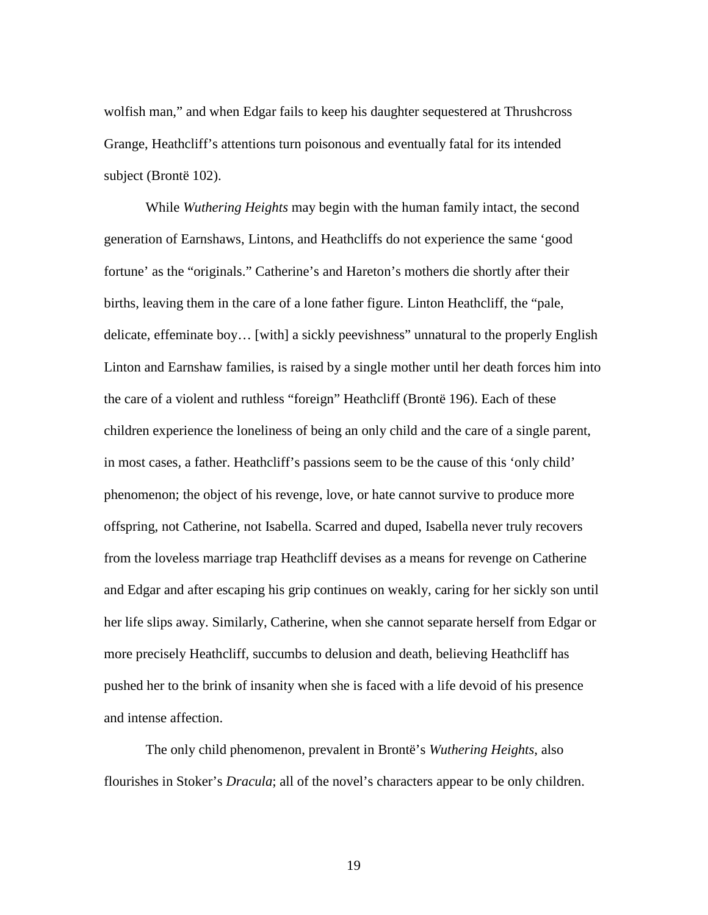wolfish man," and when Edgar fails to keep his daughter sequestered at Thrushcross Grange, Heathcliff's attentions turn poisonous and eventually fatal for its intended subject (Brontë 102).

While *Wuthering Heights* may begin with the human family intact, the second generation of Earnshaws, Lintons, and Heathcliffs do not experience the same 'good fortune' as the "originals." Catherine's and Hareton's mothers die shortly after their births, leaving them in the care of a lone father figure. Linton Heathcliff, the "pale, delicate, effeminate boy… [with] a sickly peevishness" unnatural to the properly English Linton and Earnshaw families, is raised by a single mother until her death forces him into the care of a violent and ruthless "foreign" Heathcliff (Brontë 196). Each of these children experience the loneliness of being an only child and the care of a single parent, in most cases, a father. Heathcliff's passions seem to be the cause of this 'only child' phenomenon; the object of his revenge, love, or hate cannot survive to produce more offspring, not Catherine, not Isabella. Scarred and duped, Isabella never truly recovers from the loveless marriage trap Heathcliff devises as a means for revenge on Catherine and Edgar and after escaping his grip continues on weakly, caring for her sickly son until her life slips away. Similarly, Catherine, when she cannot separate herself from Edgar or more precisely Heathcliff, succumbs to delusion and death, believing Heathcliff has pushed her to the brink of insanity when she is faced with a life devoid of his presence and intense affection.

The only child phenomenon, prevalent in Brontë's *Wuthering Heights*, also flourishes in Stoker's *Dracula*; all of the novel's characters appear to be only children.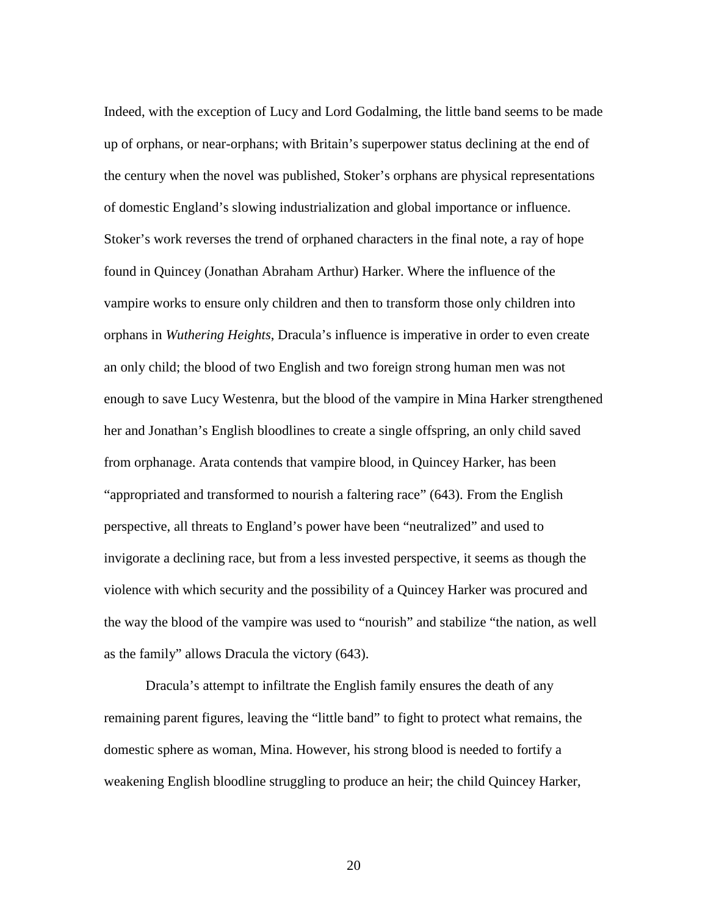Indeed, with the exception of Lucy and Lord Godalming, the little band seems to be made up of orphans, or near-orphans; with Britain's superpower status declining at the end of the century when the novel was published, Stoker's orphans are physical representations of domestic England's slowing industrialization and global importance or influence. Stoker's work reverses the trend of orphaned characters in the final note, a ray of hope found in Quincey (Jonathan Abraham Arthur) Harker. Where the influence of the vampire works to ensure only children and then to transform those only children into orphans in *Wuthering Heights*, Dracula's influence is imperative in order to even create an only child; the blood of two English and two foreign strong human men was not enough to save Lucy Westenra, but the blood of the vampire in Mina Harker strengthened her and Jonathan's English bloodlines to create a single offspring, an only child saved from orphanage. Arata contends that vampire blood, in Quincey Harker, has been "appropriated and transformed to nourish a faltering race" (643). From the English perspective, all threats to England's power have been "neutralized" and used to invigorate a declining race, but from a less invested perspective, it seems as though the violence with which security and the possibility of a Quincey Harker was procured and the way the blood of the vampire was used to "nourish" and stabilize "the nation, as well as the family" allows Dracula the victory (643).

Dracula's attempt to infiltrate the English family ensures the death of any remaining parent figures, leaving the "little band" to fight to protect what remains, the domestic sphere as woman, Mina. However, his strong blood is needed to fortify a weakening English bloodline struggling to produce an heir; the child Quincey Harker,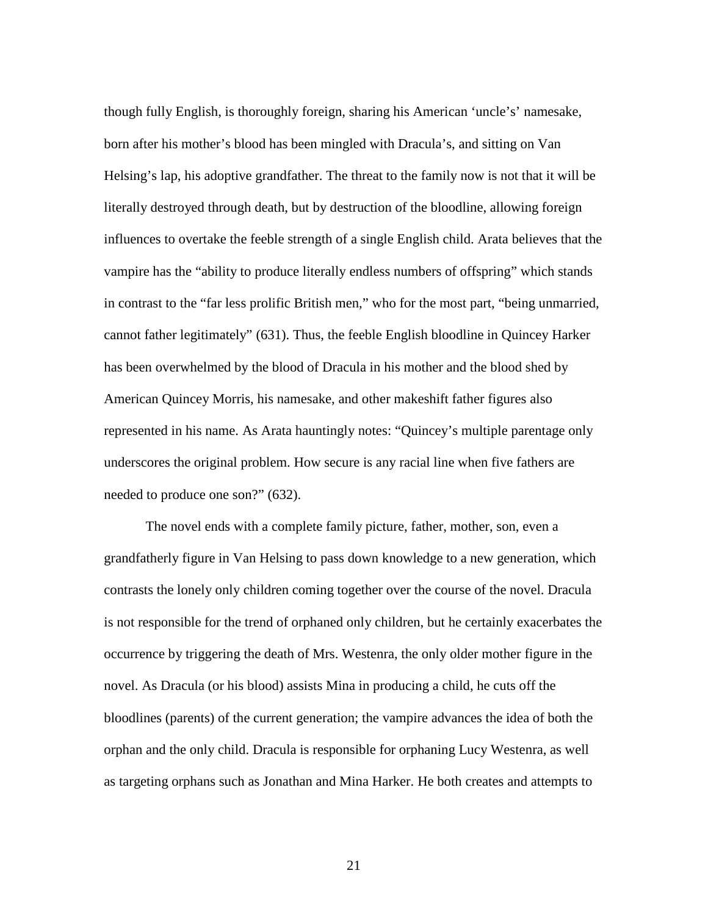though fully English, is thoroughly foreign, sharing his American 'uncle's' namesake, born after his mother's blood has been mingled with Dracula's, and sitting on Van Helsing's lap, his adoptive grandfather. The threat to the family now is not that it will be literally destroyed through death, but by destruction of the bloodline, allowing foreign influences to overtake the feeble strength of a single English child. Arata believes that the vampire has the "ability to produce literally endless numbers of offspring" which stands in contrast to the "far less prolific British men," who for the most part, "being unmarried, cannot father legitimately" (631). Thus, the feeble English bloodline in Quincey Harker has been overwhelmed by the blood of Dracula in his mother and the blood shed by American Quincey Morris, his namesake, and other makeshift father figures also represented in his name. As Arata hauntingly notes: "Quincey's multiple parentage only underscores the original problem. How secure is any racial line when five fathers are needed to produce one son?" (632).

The novel ends with a complete family picture, father, mother, son, even a grandfatherly figure in Van Helsing to pass down knowledge to a new generation, which contrasts the lonely only children coming together over the course of the novel. Dracula is not responsible for the trend of orphaned only children, but he certainly exacerbates the occurrence by triggering the death of Mrs. Westenra, the only older mother figure in the novel. As Dracula (or his blood) assists Mina in producing a child, he cuts off the bloodlines (parents) of the current generation; the vampire advances the idea of both the orphan and the only child. Dracula is responsible for orphaning Lucy Westenra, as well as targeting orphans such as Jonathan and Mina Harker. He both creates and attempts to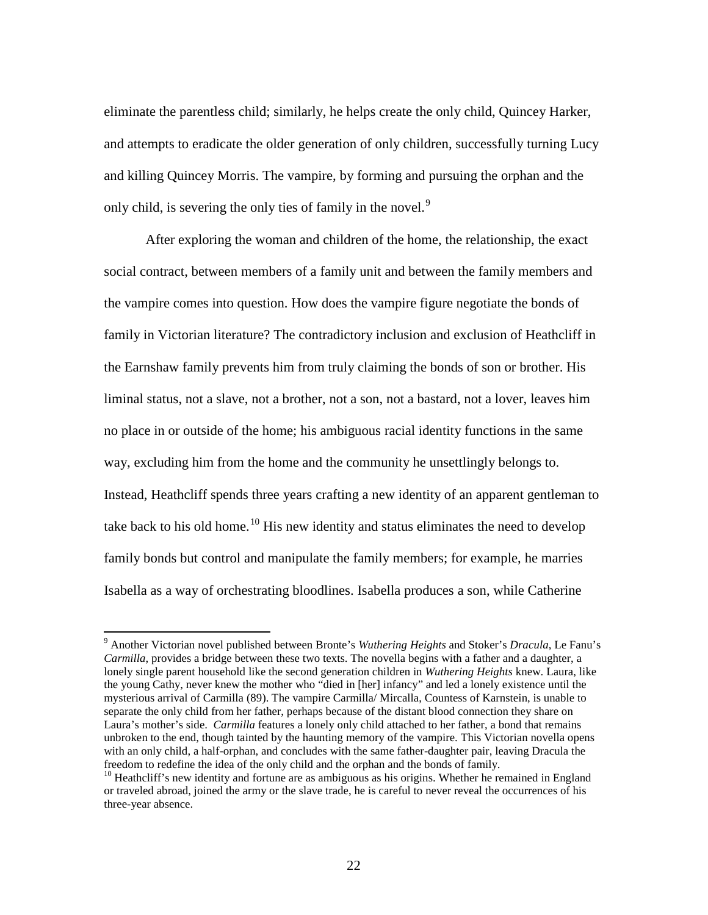eliminate the parentless child; similarly, he helps create the only child, Quincey Harker, and attempts to eradicate the older generation of only children, successfully turning Lucy and killing Quincey Morris. The vampire, by forming and pursuing the orphan and the only child, is severing the only ties of family in the novel.<sup>[9](#page-29-0)</sup>

After exploring the woman and children of the home, the relationship, the exact social contract, between members of a family unit and between the family members and the vampire comes into question. How does the vampire figure negotiate the bonds of family in Victorian literature? The contradictory inclusion and exclusion of Heathcliff in the Earnshaw family prevents him from truly claiming the bonds of son or brother. His liminal status, not a slave, not a brother, not a son, not a bastard, not a lover, leaves him no place in or outside of the home; his ambiguous racial identity functions in the same way, excluding him from the home and the community he unsettlingly belongs to. Instead, Heathcliff spends three years crafting a new identity of an apparent gentleman to take back to his old home.<sup>[10](#page-29-1)</sup> His new identity and status eliminates the need to develop family bonds but control and manipulate the family members; for example, he marries Isabella as a way of orchestrating bloodlines. Isabella produces a son, while Catherine

<span id="page-29-0"></span><sup>9</sup> Another Victorian novel published between Bronte's *Wuthering Heights* and Stoker's *Dracula*, Le Fanu's *Carmilla*, provides a bridge between these two texts. The novella begins with a father and a daughter, a lonely single parent household like the second generation children in *Wuthering Heights* knew. Laura, like the young Cathy, never knew the mother who "died in [her] infancy" and led a lonely existence until the mysterious arrival of Carmilla (89). The vampire Carmilla/ Mircalla, Countess of Karnstein, is unable to separate the only child from her father, perhaps because of the distant blood connection they share on Laura's mother's side. *Carmilla* features a lonely only child attached to her father, a bond that remains unbroken to the end, though tainted by the haunting memory of the vampire. This Victorian novella opens with an only child, a half-orphan, and concludes with the same father-daughter pair, leaving Dracula the freedom to redefine the idea of the only child and the orphan and the bonds of family.

<span id="page-29-1"></span> $10$  Heathcliff's new identity and fortune are as ambiguous as his origins. Whether he remained in England or traveled abroad, joined the army or the slave trade, he is careful to never reveal the occurrences of his three-year absence.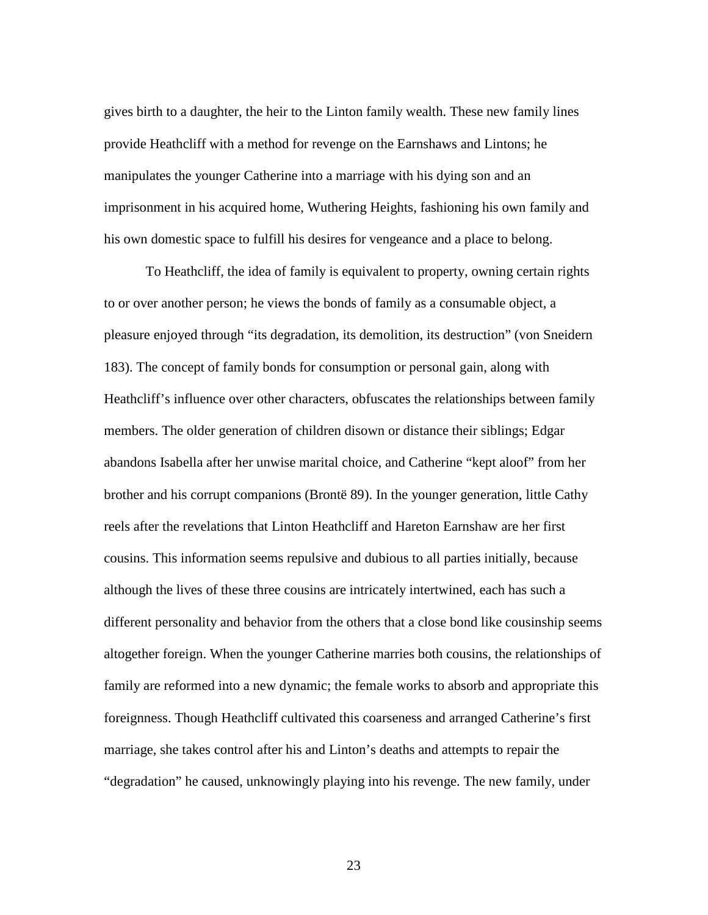gives birth to a daughter, the heir to the Linton family wealth. These new family lines provide Heathcliff with a method for revenge on the Earnshaws and Lintons; he manipulates the younger Catherine into a marriage with his dying son and an imprisonment in his acquired home, Wuthering Heights, fashioning his own family and his own domestic space to fulfill his desires for vengeance and a place to belong.

To Heathcliff, the idea of family is equivalent to property, owning certain rights to or over another person; he views the bonds of family as a consumable object, a pleasure enjoyed through "its degradation, its demolition, its destruction" (von Sneidern 183). The concept of family bonds for consumption or personal gain, along with Heathcliff's influence over other characters, obfuscates the relationships between family members. The older generation of children disown or distance their siblings; Edgar abandons Isabella after her unwise marital choice, and Catherine "kept aloof" from her brother and his corrupt companions (Brontë 89). In the younger generation, little Cathy reels after the revelations that Linton Heathcliff and Hareton Earnshaw are her first cousins. This information seems repulsive and dubious to all parties initially, because although the lives of these three cousins are intricately intertwined, each has such a different personality and behavior from the others that a close bond like cousinship seems altogether foreign. When the younger Catherine marries both cousins, the relationships of family are reformed into a new dynamic; the female works to absorb and appropriate this foreignness. Though Heathcliff cultivated this coarseness and arranged Catherine's first marriage, she takes control after his and Linton's deaths and attempts to repair the "degradation" he caused, unknowingly playing into his revenge. The new family, under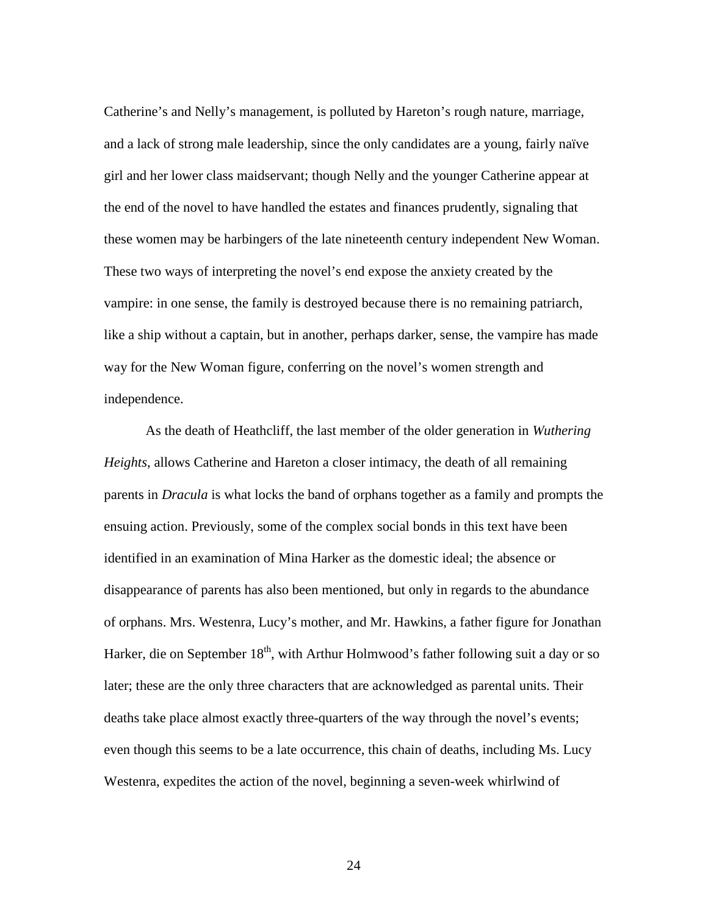Catherine's and Nelly's management, is polluted by Hareton's rough nature, marriage, and a lack of strong male leadership, since the only candidates are a young, fairly naïve girl and her lower class maidservant; though Nelly and the younger Catherine appear at the end of the novel to have handled the estates and finances prudently, signaling that these women may be harbingers of the late nineteenth century independent New Woman. These two ways of interpreting the novel's end expose the anxiety created by the vampire: in one sense, the family is destroyed because there is no remaining patriarch, like a ship without a captain, but in another, perhaps darker, sense, the vampire has made way for the New Woman figure, conferring on the novel's women strength and independence.

As the death of Heathcliff, the last member of the older generation in *Wuthering Heights*, allows Catherine and Hareton a closer intimacy, the death of all remaining parents in *Dracula* is what locks the band of orphans together as a family and prompts the ensuing action. Previously, some of the complex social bonds in this text have been identified in an examination of Mina Harker as the domestic ideal; the absence or disappearance of parents has also been mentioned, but only in regards to the abundance of orphans. Mrs. Westenra, Lucy's mother, and Mr. Hawkins, a father figure for Jonathan Harker, die on September  $18<sup>th</sup>$ , with Arthur Holmwood's father following suit a day or so later; these are the only three characters that are acknowledged as parental units. Their deaths take place almost exactly three-quarters of the way through the novel's events; even though this seems to be a late occurrence, this chain of deaths, including Ms. Lucy Westenra, expedites the action of the novel, beginning a seven-week whirlwind of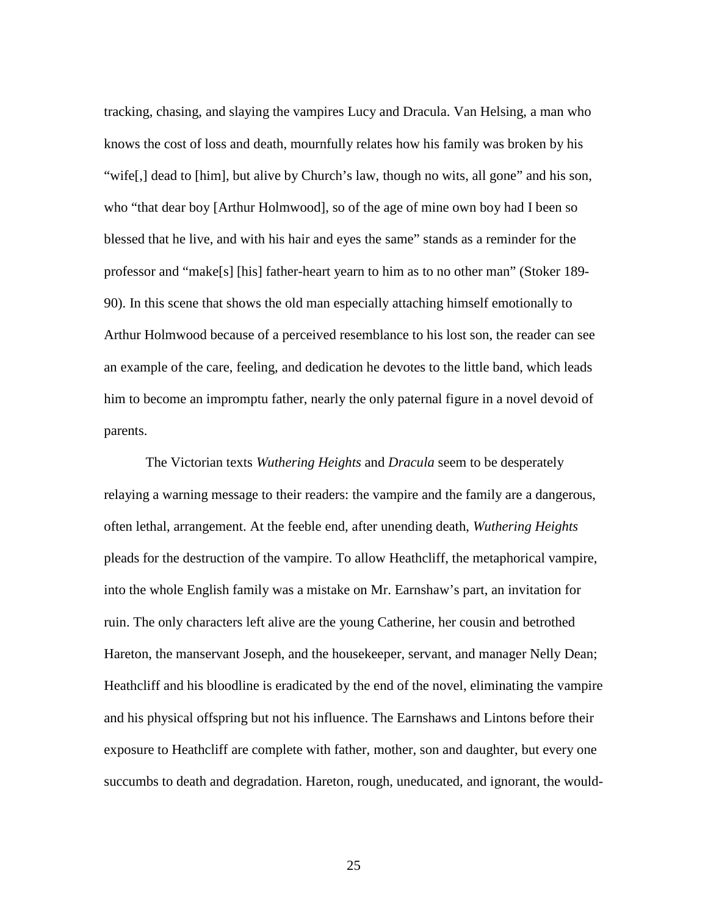tracking, chasing, and slaying the vampires Lucy and Dracula. Van Helsing, a man who knows the cost of loss and death, mournfully relates how his family was broken by his "wife[,] dead to [him], but alive by Church's law, though no wits, all gone" and his son, who "that dear boy [Arthur Holmwood], so of the age of mine own boy had I been so blessed that he live, and with his hair and eyes the same" stands as a reminder for the professor and "make[s] [his] father-heart yearn to him as to no other man" (Stoker 189- 90). In this scene that shows the old man especially attaching himself emotionally to Arthur Holmwood because of a perceived resemblance to his lost son, the reader can see an example of the care, feeling, and dedication he devotes to the little band, which leads him to become an impromptu father, nearly the only paternal figure in a novel devoid of parents.

The Victorian texts *Wuthering Heights* and *Dracula* seem to be desperately relaying a warning message to their readers: the vampire and the family are a dangerous, often lethal, arrangement. At the feeble end, after unending death, *Wuthering Heights* pleads for the destruction of the vampire. To allow Heathcliff, the metaphorical vampire, into the whole English family was a mistake on Mr. Earnshaw's part, an invitation for ruin. The only characters left alive are the young Catherine, her cousin and betrothed Hareton, the manservant Joseph, and the housekeeper, servant, and manager Nelly Dean; Heathcliff and his bloodline is eradicated by the end of the novel, eliminating the vampire and his physical offspring but not his influence. The Earnshaws and Lintons before their exposure to Heathcliff are complete with father, mother, son and daughter, but every one succumbs to death and degradation. Hareton, rough, uneducated, and ignorant, the would-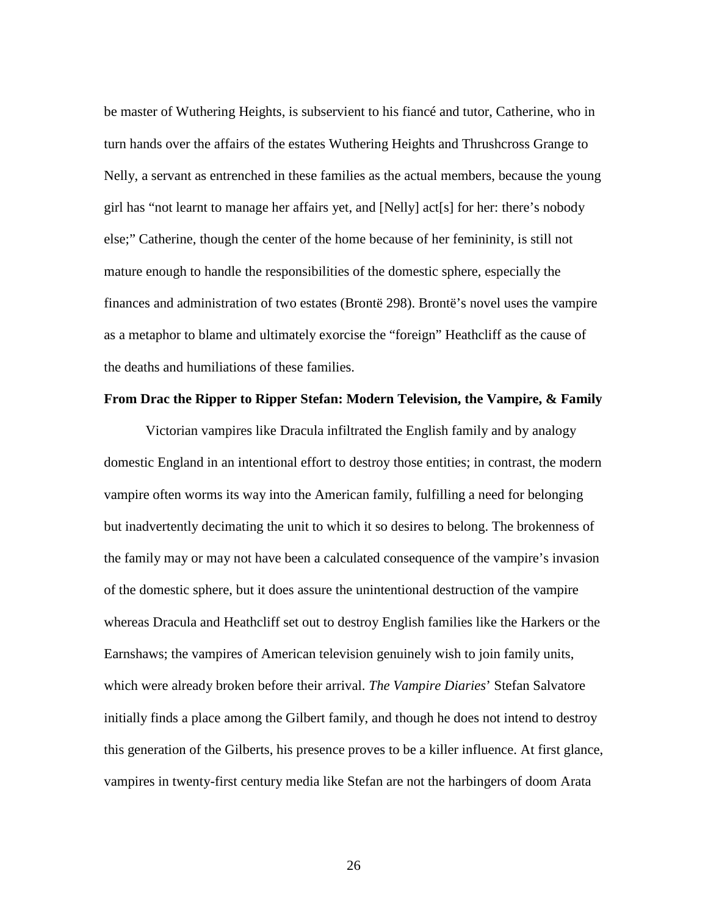be master of Wuthering Heights, is subservient to his fiancé and tutor, Catherine, who in turn hands over the affairs of the estates Wuthering Heights and Thrushcross Grange to Nelly, a servant as entrenched in these families as the actual members, because the young girl has "not learnt to manage her affairs yet, and [Nelly] act[s] for her: there's nobody else;" Catherine, though the center of the home because of her femininity, is still not mature enough to handle the responsibilities of the domestic sphere, especially the finances and administration of two estates (Brontë 298). Brontë's novel uses the vampire as a metaphor to blame and ultimately exorcise the "foreign" Heathcliff as the cause of the deaths and humiliations of these families.

### **From Drac the Ripper to Ripper Stefan: Modern Television, the Vampire, & Family**

Victorian vampires like Dracula infiltrated the English family and by analogy domestic England in an intentional effort to destroy those entities; in contrast, the modern vampire often worms its way into the American family, fulfilling a need for belonging but inadvertently decimating the unit to which it so desires to belong. The brokenness of the family may or may not have been a calculated consequence of the vampire's invasion of the domestic sphere, but it does assure the unintentional destruction of the vampire whereas Dracula and Heathcliff set out to destroy English families like the Harkers or the Earnshaws; the vampires of American television genuinely wish to join family units, which were already broken before their arrival. *The Vampire Diaries*' Stefan Salvatore initially finds a place among the Gilbert family, and though he does not intend to destroy this generation of the Gilberts, his presence proves to be a killer influence. At first glance, vampires in twenty-first century media like Stefan are not the harbingers of doom Arata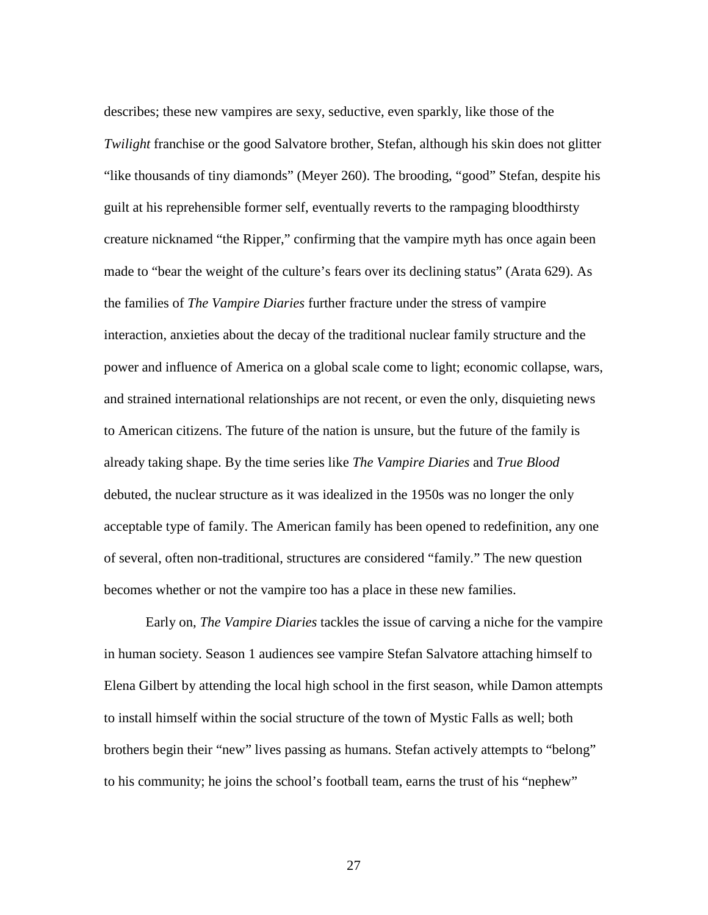describes; these new vampires are sexy, seductive, even sparkly, like those of the *Twilight* franchise or the good Salvatore brother, Stefan, although his skin does not glitter "like thousands of tiny diamonds" (Meyer 260). The brooding, "good" Stefan, despite his guilt at his reprehensible former self, eventually reverts to the rampaging bloodthirsty creature nicknamed "the Ripper," confirming that the vampire myth has once again been made to "bear the weight of the culture's fears over its declining status" (Arata 629). As the families of *The Vampire Diaries* further fracture under the stress of vampire interaction, anxieties about the decay of the traditional nuclear family structure and the power and influence of America on a global scale come to light; economic collapse, wars, and strained international relationships are not recent, or even the only, disquieting news to American citizens. The future of the nation is unsure, but the future of the family is already taking shape. By the time series like *The Vampire Diaries* and *True Blood* debuted, the nuclear structure as it was idealized in the 1950s was no longer the only acceptable type of family. The American family has been opened to redefinition, any one of several, often non-traditional, structures are considered "family." The new question becomes whether or not the vampire too has a place in these new families.

Early on, *The Vampire Diaries* tackles the issue of carving a niche for the vampire in human society. Season 1 audiences see vampire Stefan Salvatore attaching himself to Elena Gilbert by attending the local high school in the first season, while Damon attempts to install himself within the social structure of the town of Mystic Falls as well; both brothers begin their "new" lives passing as humans. Stefan actively attempts to "belong" to his community; he joins the school's football team, earns the trust of his "nephew"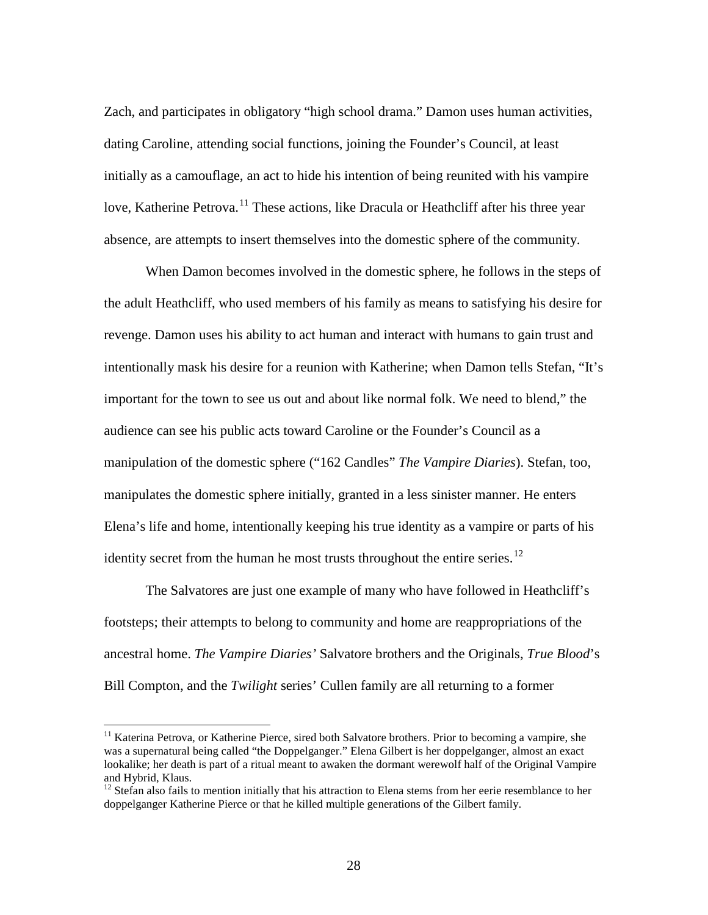Zach, and participates in obligatory "high school drama." Damon uses human activities, dating Caroline, attending social functions, joining the Founder's Council, at least initially as a camouflage, an act to hide his intention of being reunited with his vampire love, Katherine Petrova.<sup>[11](#page-35-0)</sup> These actions, like Dracula or Heathcliff after his three year absence, are attempts to insert themselves into the domestic sphere of the community.

When Damon becomes involved in the domestic sphere, he follows in the steps of the adult Heathcliff, who used members of his family as means to satisfying his desire for revenge. Damon uses his ability to act human and interact with humans to gain trust and intentionally mask his desire for a reunion with Katherine; when Damon tells Stefan, "It's important for the town to see us out and about like normal folk. We need to blend," the audience can see his public acts toward Caroline or the Founder's Council as a manipulation of the domestic sphere ("162 Candles" *The Vampire Diaries*). Stefan, too, manipulates the domestic sphere initially, granted in a less sinister manner. He enters Elena's life and home, intentionally keeping his true identity as a vampire or parts of his identity secret from the human he most trusts throughout the entire series.<sup>[12](#page-35-1)</sup>

The Salvatores are just one example of many who have followed in Heathcliff's footsteps; their attempts to belong to community and home are reappropriations of the ancestral home. *The Vampire Diaries'* Salvatore brothers and the Originals, *True Blood*'s Bill Compton, and the *Twilight* series' Cullen family are all returning to a former

<span id="page-35-0"></span><sup>&</sup>lt;sup>11</sup> Katerina Petrova, or Katherine Pierce, sired both Salvatore brothers. Prior to becoming a vampire, she was a supernatural being called "the Doppelganger." Elena Gilbert is her doppelganger, almost an exact lookalike; her death is part of a ritual meant to awaken the dormant werewolf half of the Original Vampire and Hybrid, Klaus.

<span id="page-35-1"></span> $12$  Stefan also fails to mention initially that his attraction to Elena stems from her eerie resemblance to her doppelganger Katherine Pierce or that he killed multiple generations of the Gilbert family.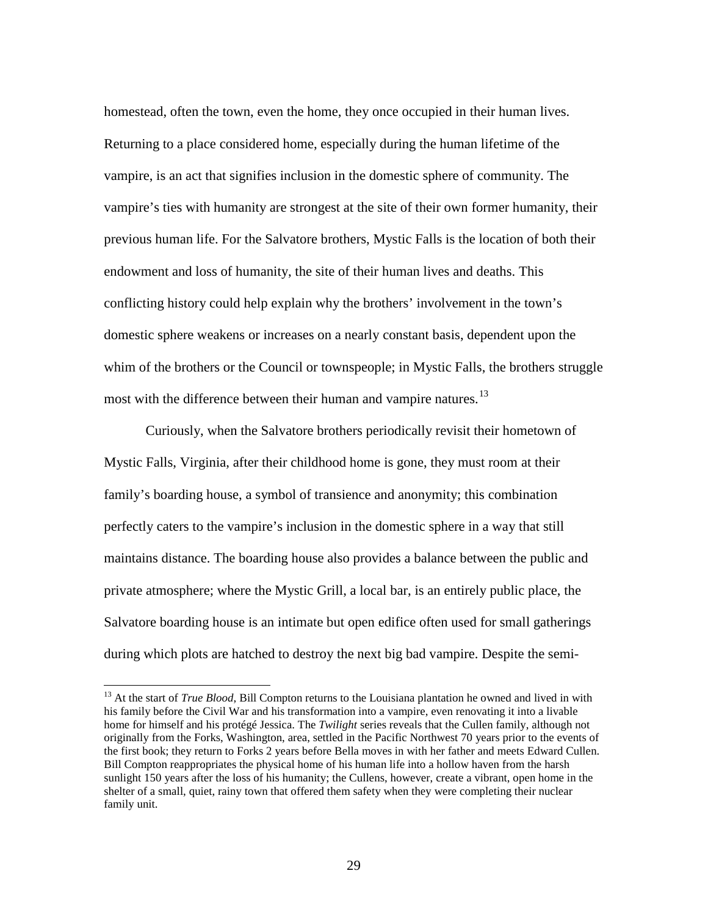homestead, often the town, even the home, they once occupied in their human lives. Returning to a place considered home, especially during the human lifetime of the vampire, is an act that signifies inclusion in the domestic sphere of community. The vampire's ties with humanity are strongest at the site of their own former humanity, their previous human life. For the Salvatore brothers, Mystic Falls is the location of both their endowment and loss of humanity, the site of their human lives and deaths. This conflicting history could help explain why the brothers' involvement in the town's domestic sphere weakens or increases on a nearly constant basis, dependent upon the whim of the brothers or the Council or townspeople; in Mystic Falls, the brothers struggle most with the difference between their human and vampire natures.<sup>[13](#page-36-0)</sup>

Curiously, when the Salvatore brothers periodically revisit their hometown of Mystic Falls, Virginia, after their childhood home is gone, they must room at their family's boarding house, a symbol of transience and anonymity; this combination perfectly caters to the vampire's inclusion in the domestic sphere in a way that still maintains distance. The boarding house also provides a balance between the public and private atmosphere; where the Mystic Grill, a local bar, is an entirely public place, the Salvatore boarding house is an intimate but open edifice often used for small gatherings during which plots are hatched to destroy the next big bad vampire. Despite the semi-

<span id="page-36-0"></span><sup>&</sup>lt;sup>13</sup> At the start of *True Blood*, Bill Compton returns to the Louisiana plantation he owned and lived in with his family before the Civil War and his transformation into a vampire, even renovating it into a livable home for himself and his protégé Jessica. The *Twilight* series reveals that the Cullen family, although not originally from the Forks, Washington, area, settled in the Pacific Northwest 70 years prior to the events of the first book; they return to Forks 2 years before Bella moves in with her father and meets Edward Cullen. Bill Compton reappropriates the physical home of his human life into a hollow haven from the harsh sunlight 150 years after the loss of his humanity; the Cullens, however, create a vibrant, open home in the shelter of a small, quiet, rainy town that offered them safety when they were completing their nuclear family unit.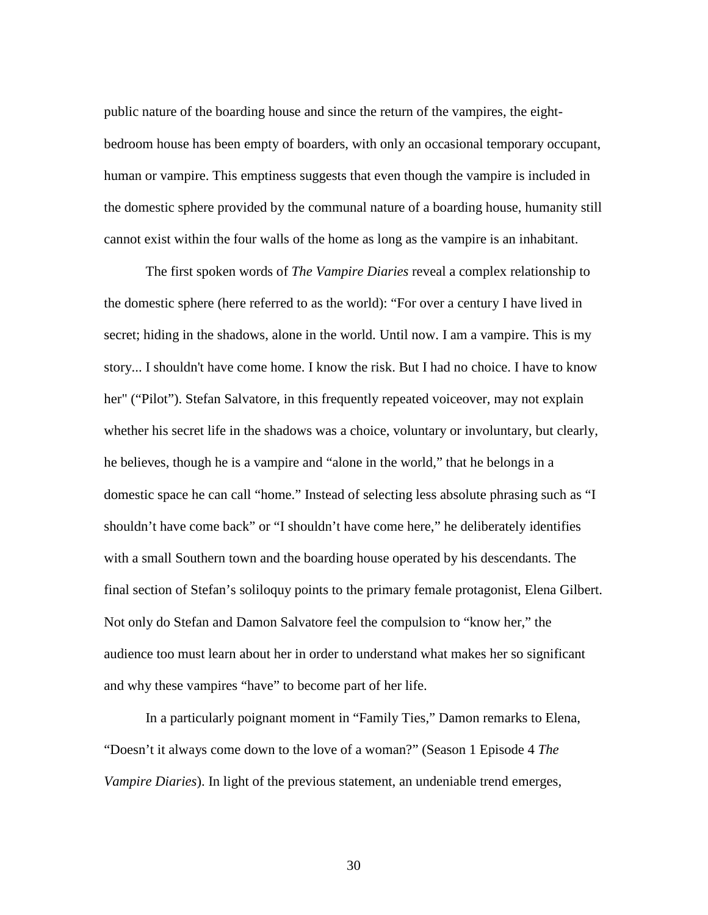public nature of the boarding house and since the return of the vampires, the eightbedroom house has been empty of boarders, with only an occasional temporary occupant, human or vampire. This emptiness suggests that even though the vampire is included in the domestic sphere provided by the communal nature of a boarding house, humanity still cannot exist within the four walls of the home as long as the vampire is an inhabitant.

The first spoken words of *The Vampire Diaries* reveal a complex relationship to the domestic sphere (here referred to as the world): "For over a century I have lived in secret; hiding in the shadows, alone in the world. Until now. I am a vampire. This is my story... I shouldn't have come home. I know the risk. But I had no choice. I have to know her" ("Pilot"). Stefan Salvatore, in this frequently repeated voiceover, may not explain whether his secret life in the shadows was a choice, voluntary or involuntary, but clearly, he believes, though he is a vampire and "alone in the world," that he belongs in a domestic space he can call "home." Instead of selecting less absolute phrasing such as "I shouldn't have come back" or "I shouldn't have come here," he deliberately identifies with a small Southern town and the boarding house operated by his descendants. The final section of Stefan's soliloquy points to the primary female protagonist, Elena Gilbert. Not only do Stefan and Damon Salvatore feel the compulsion to "know her," the audience too must learn about her in order to understand what makes her so significant and why these vampires "have" to become part of her life.

In a particularly poignant moment in "Family Ties," Damon remarks to Elena, "Doesn't it always come down to the love of a woman?" (Season 1 Episode 4 *The Vampire Diaries*). In light of the previous statement, an undeniable trend emerges,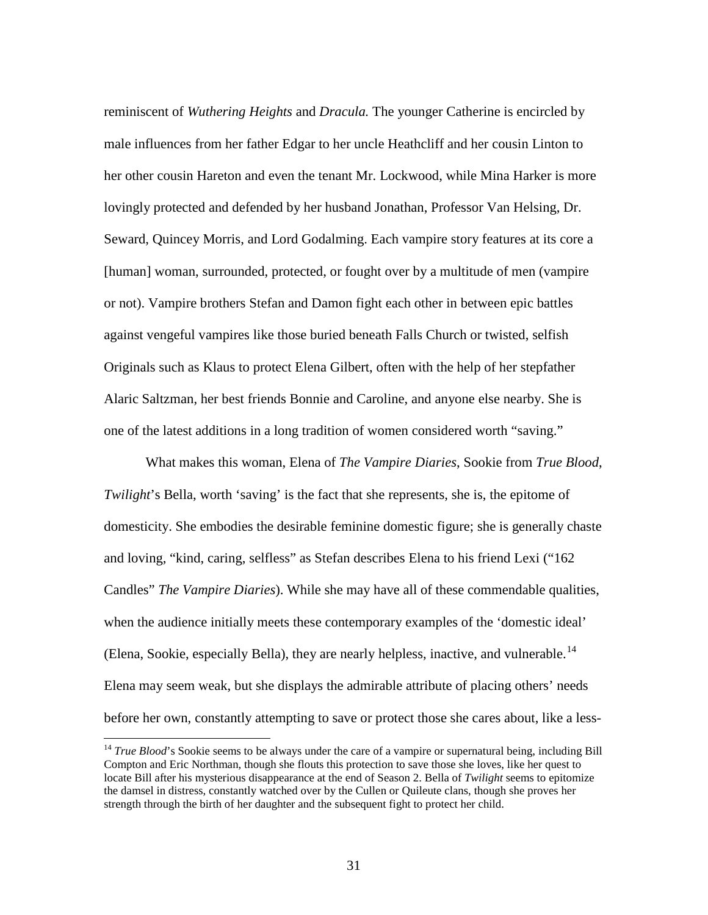reminiscent of *Wuthering Heights* and *Dracula.* The younger Catherine is encircled by male influences from her father Edgar to her uncle Heathcliff and her cousin Linton to her other cousin Hareton and even the tenant Mr. Lockwood, while Mina Harker is more lovingly protected and defended by her husband Jonathan, Professor Van Helsing, Dr. Seward, Quincey Morris, and Lord Godalming. Each vampire story features at its core a [human] woman, surrounded, protected, or fought over by a multitude of men (vampire or not). Vampire brothers Stefan and Damon fight each other in between epic battles against vengeful vampires like those buried beneath Falls Church or twisted, selfish Originals such as Klaus to protect Elena Gilbert, often with the help of her stepfather Alaric Saltzman, her best friends Bonnie and Caroline, and anyone else nearby. She is one of the latest additions in a long tradition of women considered worth "saving."

What makes this woman, Elena of *The Vampire Diaries*, Sookie from *True Blood*, *Twilight*'s Bella, worth 'saving' is the fact that she represents, she is, the epitome of domesticity. She embodies the desirable feminine domestic figure; she is generally chaste and loving, "kind, caring, selfless" as Stefan describes Elena to his friend Lexi ("162 Candles" *The Vampire Diaries*). While she may have all of these commendable qualities, when the audience initially meets these contemporary examples of the 'domestic ideal' (Elena, Sookie, especially Bella), they are nearly helpless, inactive, and vulnerable.<sup>[14](#page-38-0)</sup> Elena may seem weak, but she displays the admirable attribute of placing others' needs before her own, constantly attempting to save or protect those she cares about, like a less-

<span id="page-38-0"></span><sup>&</sup>lt;sup>14</sup> *True Blood*'s Sookie seems to be always under the care of a vampire or supernatural being, including Bill Compton and Eric Northman*,* though she flouts this protection to save those she loves, like her quest to locate Bill after his mysterious disappearance at the end of Season 2. Bella of *Twilight* seems to epitomize the damsel in distress, constantly watched over by the Cullen or Quileute clans, though she proves her strength through the birth of her daughter and the subsequent fight to protect her child.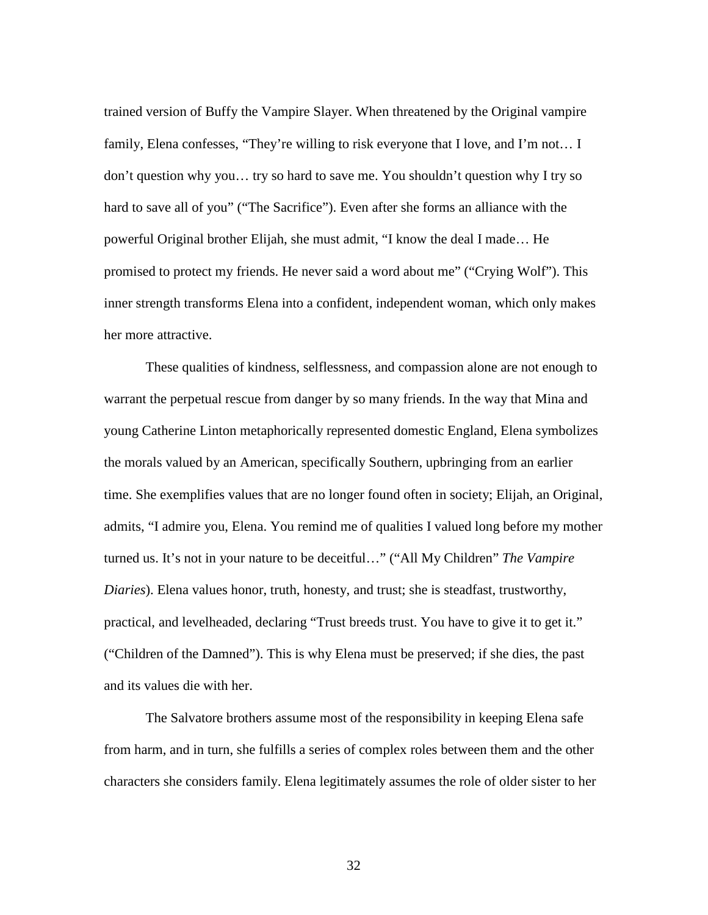trained version of Buffy the Vampire Slayer. When threatened by the Original vampire family, Elena confesses, "They're willing to risk everyone that I love, and I'm not… I don't question why you… try so hard to save me. You shouldn't question why I try so hard to save all of you" ("The Sacrifice"). Even after she forms an alliance with the powerful Original brother Elijah, she must admit, "I know the deal I made… He promised to protect my friends. He never said a word about me" ("Crying Wolf"). This inner strength transforms Elena into a confident, independent woman, which only makes her more attractive.

These qualities of kindness, selflessness, and compassion alone are not enough to warrant the perpetual rescue from danger by so many friends. In the way that Mina and young Catherine Linton metaphorically represented domestic England, Elena symbolizes the morals valued by an American, specifically Southern, upbringing from an earlier time. She exemplifies values that are no longer found often in society; Elijah, an Original, admits, "I admire you, Elena. You remind me of qualities I valued long before my mother turned us. It's not in your nature to be deceitful…" ("All My Children" *The Vampire Diaries*). Elena values honor, truth, honesty, and trust; she is steadfast, trustworthy, practical, and levelheaded, declaring "Trust breeds trust. You have to give it to get it." ("Children of the Damned"). This is why Elena must be preserved; if she dies, the past and its values die with her.

The Salvatore brothers assume most of the responsibility in keeping Elena safe from harm, and in turn, she fulfills a series of complex roles between them and the other characters she considers family. Elena legitimately assumes the role of older sister to her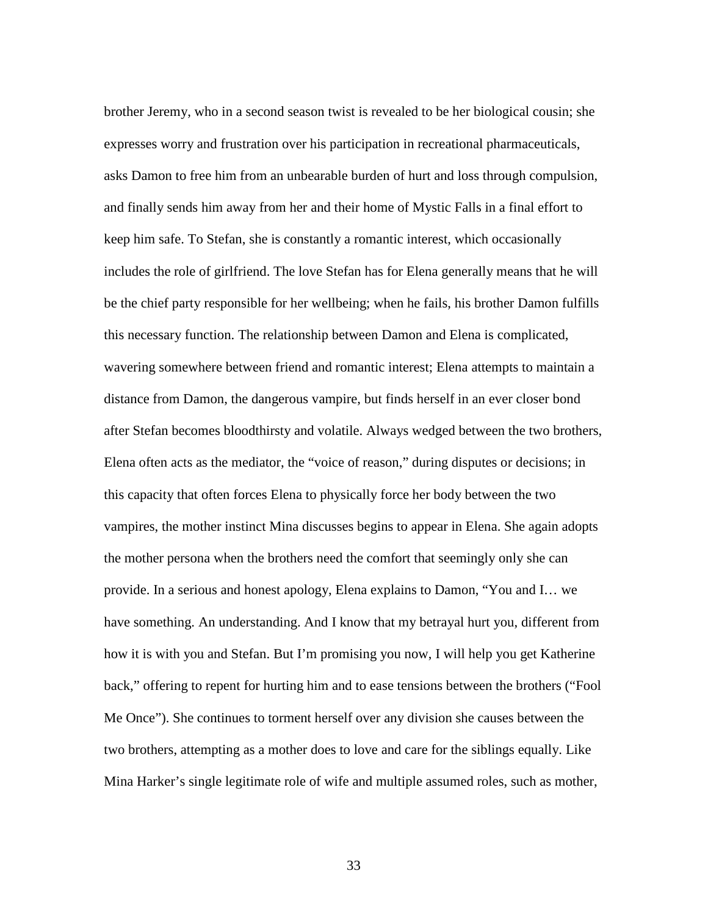brother Jeremy, who in a second season twist is revealed to be her biological cousin; she expresses worry and frustration over his participation in recreational pharmaceuticals, asks Damon to free him from an unbearable burden of hurt and loss through compulsion, and finally sends him away from her and their home of Mystic Falls in a final effort to keep him safe. To Stefan, she is constantly a romantic interest, which occasionally includes the role of girlfriend. The love Stefan has for Elena generally means that he will be the chief party responsible for her wellbeing; when he fails, his brother Damon fulfills this necessary function. The relationship between Damon and Elena is complicated, wavering somewhere between friend and romantic interest; Elena attempts to maintain a distance from Damon, the dangerous vampire, but finds herself in an ever closer bond after Stefan becomes bloodthirsty and volatile. Always wedged between the two brothers, Elena often acts as the mediator, the "voice of reason," during disputes or decisions; in this capacity that often forces Elena to physically force her body between the two vampires, the mother instinct Mina discusses begins to appear in Elena. She again adopts the mother persona when the brothers need the comfort that seemingly only she can provide. In a serious and honest apology, Elena explains to Damon, "You and I… we have something. An understanding. And I know that my betrayal hurt you, different from how it is with you and Stefan. But I'm promising you now, I will help you get Katherine back," offering to repent for hurting him and to ease tensions between the brothers ("Fool Me Once"). She continues to torment herself over any division she causes between the two brothers, attempting as a mother does to love and care for the siblings equally. Like Mina Harker's single legitimate role of wife and multiple assumed roles, such as mother,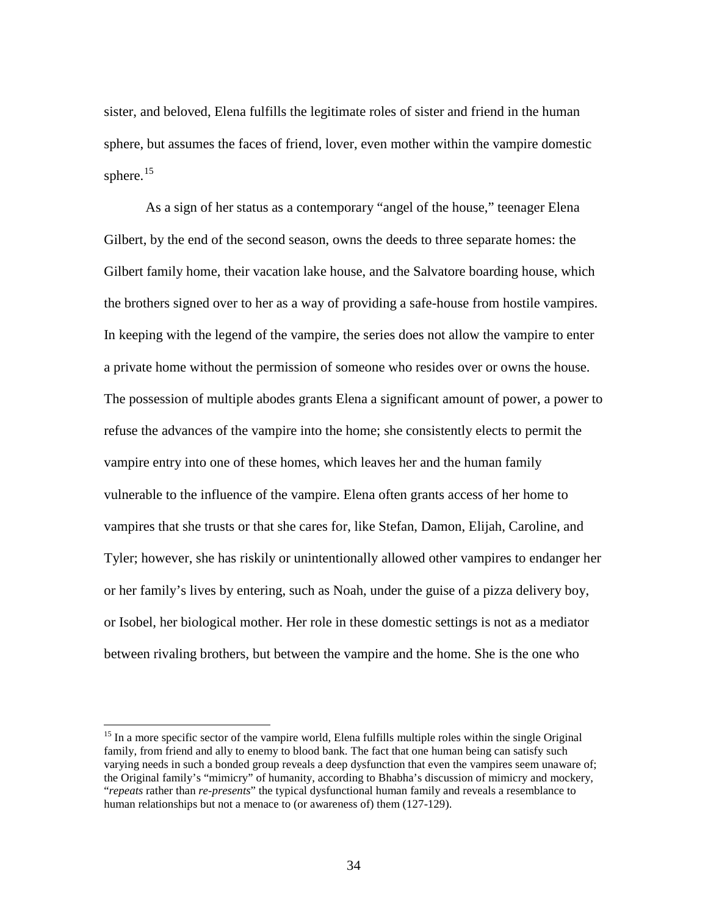sister, and beloved, Elena fulfills the legitimate roles of sister and friend in the human sphere, but assumes the faces of friend, lover, even mother within the vampire domestic sphere. $15$ 

As a sign of her status as a contemporary "angel of the house," teenager Elena Gilbert, by the end of the second season, owns the deeds to three separate homes: the Gilbert family home, their vacation lake house, and the Salvatore boarding house, which the brothers signed over to her as a way of providing a safe-house from hostile vampires. In keeping with the legend of the vampire, the series does not allow the vampire to enter a private home without the permission of someone who resides over or owns the house. The possession of multiple abodes grants Elena a significant amount of power, a power to refuse the advances of the vampire into the home; she consistently elects to permit the vampire entry into one of these homes, which leaves her and the human family vulnerable to the influence of the vampire. Elena often grants access of her home to vampires that she trusts or that she cares for, like Stefan, Damon, Elijah, Caroline, and Tyler; however, she has riskily or unintentionally allowed other vampires to endanger her or her family's lives by entering, such as Noah, under the guise of a pizza delivery boy, or Isobel, her biological mother. Her role in these domestic settings is not as a mediator between rivaling brothers, but between the vampire and the home. She is the one who

<span id="page-41-0"></span><sup>&</sup>lt;sup>15</sup> In a more specific sector of the vampire world, Elena fulfills multiple roles within the single Original family, from friend and ally to enemy to blood bank. The fact that one human being can satisfy such varying needs in such a bonded group reveals a deep dysfunction that even the vampires seem unaware of; the Original family's "mimicry" of humanity, according to Bhabha's discussion of mimicry and mockery, "*repeats* rather than *re-presents*" the typical dysfunctional human family and reveals a resemblance to human relationships but not a menace to (or awareness of) them (127-129).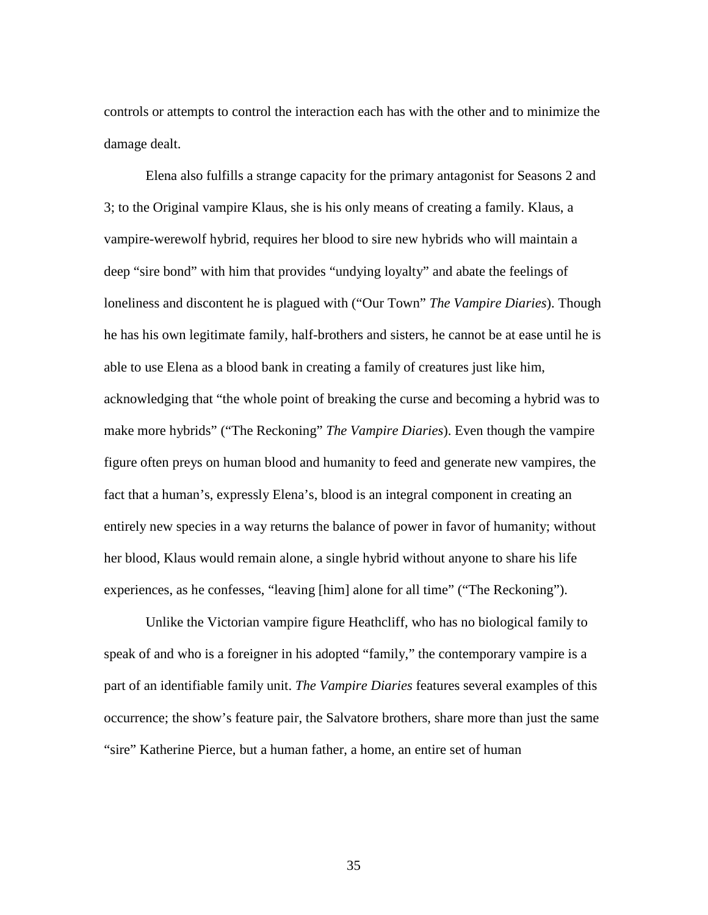controls or attempts to control the interaction each has with the other and to minimize the damage dealt.

Elena also fulfills a strange capacity for the primary antagonist for Seasons 2 and 3; to the Original vampire Klaus, she is his only means of creating a family. Klaus, a vampire-werewolf hybrid, requires her blood to sire new hybrids who will maintain a deep "sire bond" with him that provides "undying loyalty" and abate the feelings of loneliness and discontent he is plagued with ("Our Town" *The Vampire Diaries*). Though he has his own legitimate family, half-brothers and sisters, he cannot be at ease until he is able to use Elena as a blood bank in creating a family of creatures just like him, acknowledging that "the whole point of breaking the curse and becoming a hybrid was to make more hybrids" ("The Reckoning" *The Vampire Diaries*). Even though the vampire figure often preys on human blood and humanity to feed and generate new vampires, the fact that a human's, expressly Elena's, blood is an integral component in creating an entirely new species in a way returns the balance of power in favor of humanity; without her blood, Klaus would remain alone, a single hybrid without anyone to share his life experiences, as he confesses, "leaving [him] alone for all time" ("The Reckoning").

Unlike the Victorian vampire figure Heathcliff, who has no biological family to speak of and who is a foreigner in his adopted "family," the contemporary vampire is a part of an identifiable family unit. *The Vampire Diaries* features several examples of this occurrence; the show's feature pair, the Salvatore brothers, share more than just the same "sire" Katherine Pierce, but a human father, a home, an entire set of human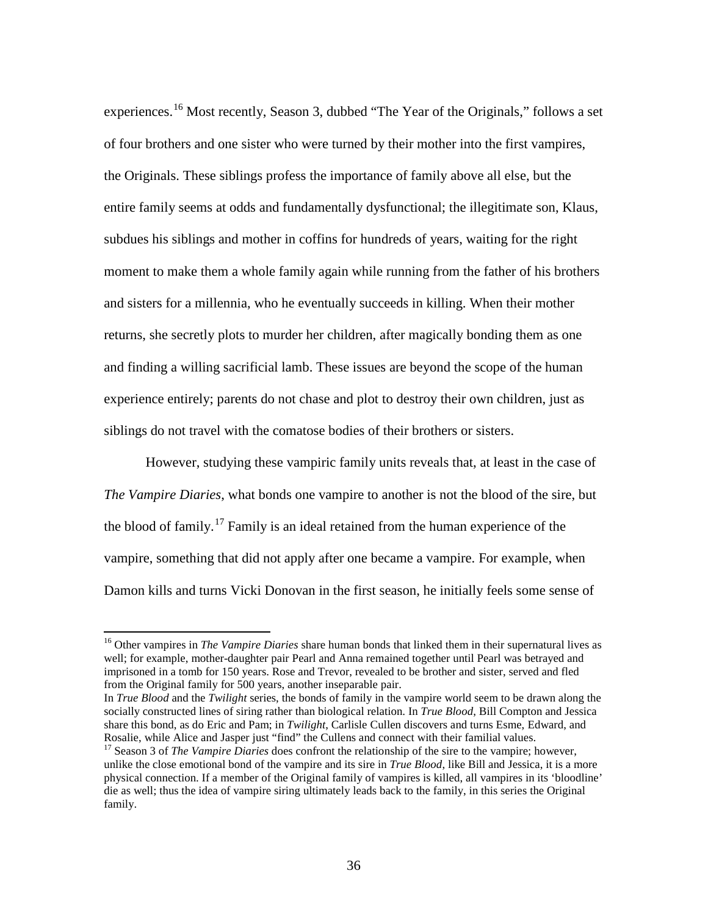experiences.<sup>[16](#page-43-0)</sup> Most recently, Season 3, dubbed "The Year of the Originals," follows a set of four brothers and one sister who were turned by their mother into the first vampires, the Originals. These siblings profess the importance of family above all else, but the entire family seems at odds and fundamentally dysfunctional; the illegitimate son, Klaus, subdues his siblings and mother in coffins for hundreds of years, waiting for the right moment to make them a whole family again while running from the father of his brothers and sisters for a millennia, who he eventually succeeds in killing. When their mother returns, she secretly plots to murder her children, after magically bonding them as one and finding a willing sacrificial lamb. These issues are beyond the scope of the human experience entirely; parents do not chase and plot to destroy their own children, just as siblings do not travel with the comatose bodies of their brothers or sisters.

However, studying these vampiric family units reveals that, at least in the case of *The Vampire Diaries*, what bonds one vampire to another is not the blood of the sire, but the blood of family.<sup>[17](#page-43-1)</sup> Family is an ideal retained from the human experience of the vampire, something that did not apply after one became a vampire. For example, when Damon kills and turns Vicki Donovan in the first season, he initially feels some sense of

<span id="page-43-0"></span><sup>&</sup>lt;sup>16</sup> Other vampires in *The Vampire Diaries* share human bonds that linked them in their supernatural lives as well; for example, mother-daughter pair Pearl and Anna remained together until Pearl was betrayed and imprisoned in a tomb for 150 years. Rose and Trevor, revealed to be brother and sister, served and fled from the Original family for 500 years, another inseparable pair.

In *True Blood* and the *Twilight* series, the bonds of family in the vampire world seem to be drawn along the socially constructed lines of siring rather than biological relation. In *True Blood*, Bill Compton and Jessica share this bond, as do Eric and Pam; in *Twilight*, Carlisle Cullen discovers and turns Esme, Edward, and Rosalie, while Alice and Jasper just "find" the Cullens and connect with their familial values.

<span id="page-43-1"></span><sup>&</sup>lt;sup>17</sup> Season 3 of *The Vampire Diaries* does confront the relationship of the sire to the vampire; however, unlike the close emotional bond of the vampire and its sire in *True Blood*, like Bill and Jessica, it is a more physical connection. If a member of the Original family of vampires is killed, all vampires in its 'bloodline' die as well; thus the idea of vampire siring ultimately leads back to the family, in this series the Original family.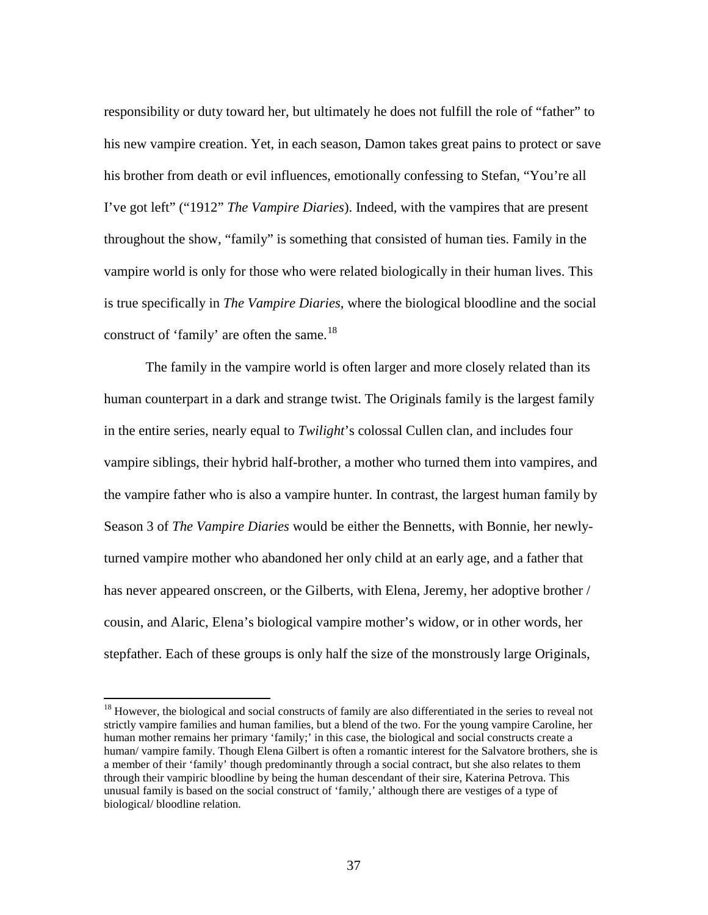responsibility or duty toward her, but ultimately he does not fulfill the role of "father" to his new vampire creation. Yet, in each season, Damon takes great pains to protect or save his brother from death or evil influences, emotionally confessing to Stefan, "You're all I've got left" ("1912" *The Vampire Diaries*). Indeed, with the vampires that are present throughout the show, "family" is something that consisted of human ties. Family in the vampire world is only for those who were related biologically in their human lives. This is true specifically in *The Vampire Diaries*, where the biological bloodline and the social construct of 'family' are often the same. $18$ 

The family in the vampire world is often larger and more closely related than its human counterpart in a dark and strange twist. The Originals family is the largest family in the entire series, nearly equal to *Twilight*'s colossal Cullen clan, and includes four vampire siblings, their hybrid half-brother, a mother who turned them into vampires, and the vampire father who is also a vampire hunter. In contrast, the largest human family by Season 3 of *The Vampire Diaries* would be either the Bennetts, with Bonnie, her newlyturned vampire mother who abandoned her only child at an early age, and a father that has never appeared onscreen, or the Gilberts, with Elena, Jeremy, her adoptive brother / cousin, and Alaric, Elena's biological vampire mother's widow, or in other words, her stepfather. Each of these groups is only half the size of the monstrously large Originals,

<span id="page-44-0"></span><sup>&</sup>lt;sup>18</sup> However, the biological and social constructs of family are also differentiated in the series to reveal not strictly vampire families and human families, but a blend of the two. For the young vampire Caroline, her human mother remains her primary 'family;' in this case, the biological and social constructs create a human/ vampire family. Though Elena Gilbert is often a romantic interest for the Salvatore brothers, she is a member of their 'family' though predominantly through a social contract, but she also relates to them through their vampiric bloodline by being the human descendant of their sire, Katerina Petrova. This unusual family is based on the social construct of 'family,' although there are vestiges of a type of biological/ bloodline relation.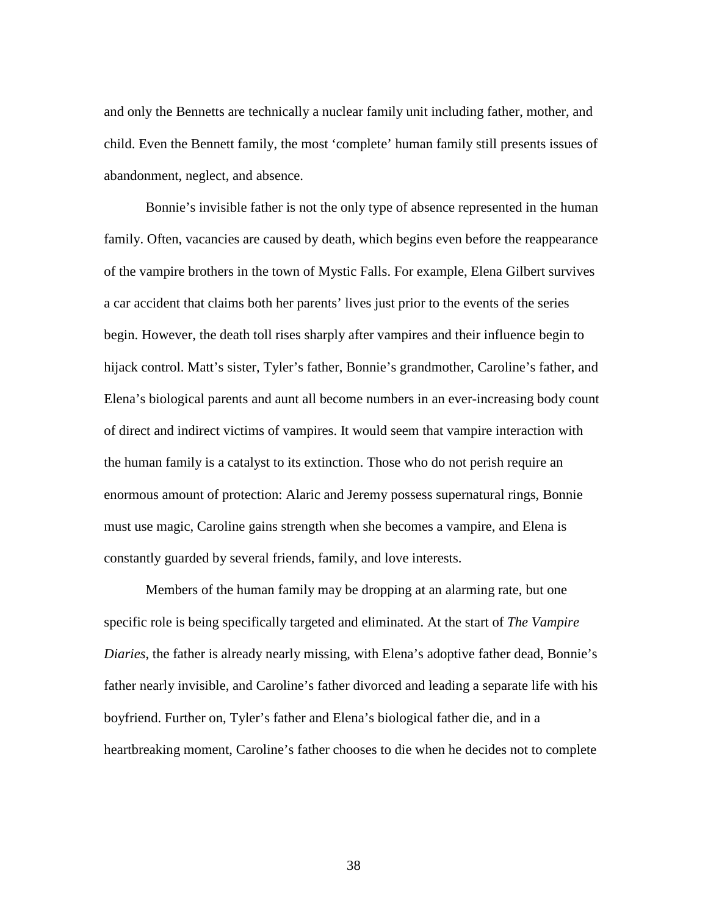and only the Bennetts are technically a nuclear family unit including father, mother, and child. Even the Bennett family, the most 'complete' human family still presents issues of abandonment, neglect, and absence.

Bonnie's invisible father is not the only type of absence represented in the human family. Often, vacancies are caused by death, which begins even before the reappearance of the vampire brothers in the town of Mystic Falls. For example, Elena Gilbert survives a car accident that claims both her parents' lives just prior to the events of the series begin. However, the death toll rises sharply after vampires and their influence begin to hijack control. Matt's sister, Tyler's father, Bonnie's grandmother, Caroline's father, and Elena's biological parents and aunt all become numbers in an ever-increasing body count of direct and indirect victims of vampires. It would seem that vampire interaction with the human family is a catalyst to its extinction. Those who do not perish require an enormous amount of protection: Alaric and Jeremy possess supernatural rings, Bonnie must use magic, Caroline gains strength when she becomes a vampire, and Elena is constantly guarded by several friends, family, and love interests.

Members of the human family may be dropping at an alarming rate, but one specific role is being specifically targeted and eliminated. At the start of *The Vampire Diaries*, the father is already nearly missing, with Elena's adoptive father dead, Bonnie's father nearly invisible, and Caroline's father divorced and leading a separate life with his boyfriend. Further on, Tyler's father and Elena's biological father die, and in a heartbreaking moment, Caroline's father chooses to die when he decides not to complete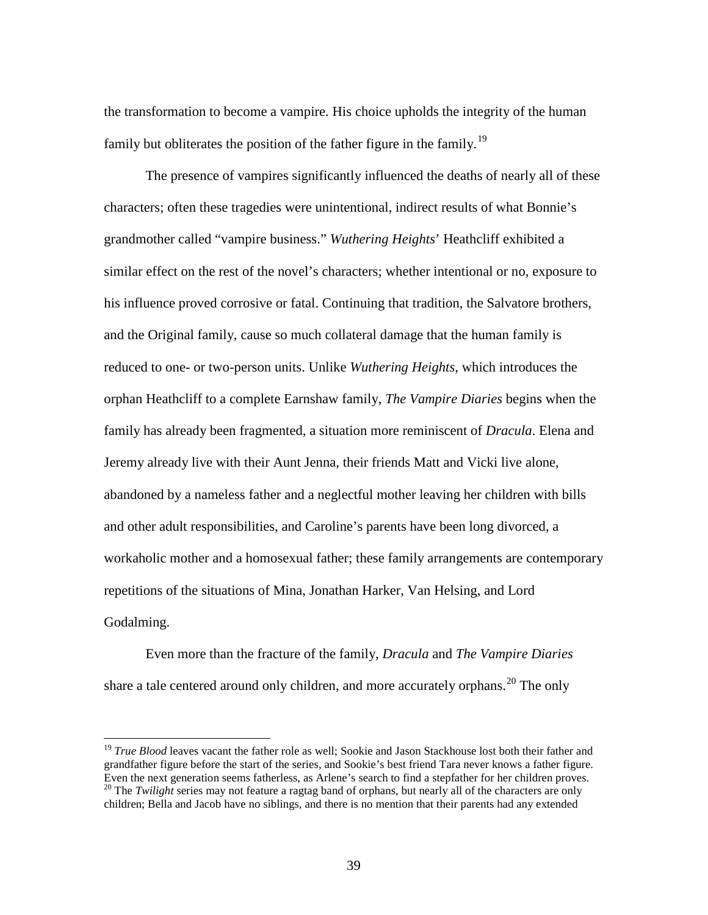the transformation to become a vampire. His choice upholds the integrity of the human family but obliterates the position of the father figure in the family.<sup>[19](#page-46-0)</sup>

The presence of vampires significantly influenced the deaths of nearly all of these characters; often these tragedies were unintentional, indirect results of what Bonnie's grandmother called "vampire business." *Wuthering Heights*' Heathcliff exhibited a similar effect on the rest of the novel's characters; whether intentional or no, exposure to his influence proved corrosive or fatal. Continuing that tradition, the Salvatore brothers, and the Original family, cause so much collateral damage that the human family is reduced to one- or two-person units. Unlike *Wuthering Heights*, which introduces the orphan Heathcliff to a complete Earnshaw family, *The Vampire Diaries* begins when the family has already been fragmented, a situation more reminiscent of *Dracula*. Elena and Jeremy already live with their Aunt Jenna, their friends Matt and Vicki live alone, abandoned by a nameless father and a neglectful mother leaving her children with bills and other adult responsibilities, and Caroline's parents have been long divorced, a workaholic mother and a homosexual father; these family arrangements are contemporary repetitions of the situations of Mina, Jonathan Harker, Van Helsing, and Lord Godalming.

Even more than the fracture of the family, *Dracula* and *The Vampire Diaries* share a tale centered around only children, and more accurately orphans.<sup>[20](#page-46-1)</sup> The only

<span id="page-46-0"></span><sup>&</sup>lt;sup>19</sup> *True Blood* leaves vacant the father role as well; Sookie and Jason Stackhouse lost both their father and grandfather figure before the start of the series, and Sookie's best friend Tara never knows a father figure. Even the next generation seems fatherless, as Arlene's search to find a stepfather for her children proves. <sup>20</sup> The *Twilight* series may not feature a ragtag band of orphans, but nearly all of the characters are only

<span id="page-46-1"></span>children; Bella and Jacob have no siblings, and there is no mention that their parents had any extended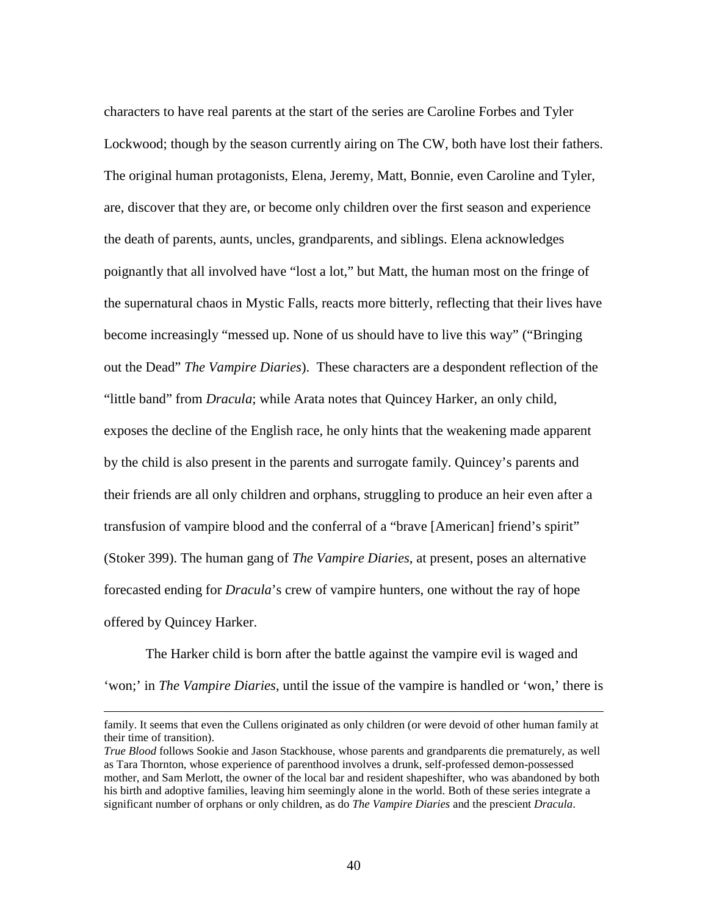characters to have real parents at the start of the series are Caroline Forbes and Tyler Lockwood; though by the season currently airing on The CW, both have lost their fathers. The original human protagonists, Elena, Jeremy, Matt, Bonnie, even Caroline and Tyler, are, discover that they are, or become only children over the first season and experience the death of parents, aunts, uncles, grandparents, and siblings. Elena acknowledges poignantly that all involved have "lost a lot," but Matt, the human most on the fringe of the supernatural chaos in Mystic Falls, reacts more bitterly, reflecting that their lives have become increasingly "messed up. None of us should have to live this way" ("Bringing out the Dead" *The Vampire Diaries*). These characters are a despondent reflection of the "little band" from *Dracula*; while Arata notes that Quincey Harker, an only child, exposes the decline of the English race, he only hints that the weakening made apparent by the child is also present in the parents and surrogate family. Quincey's parents and their friends are all only children and orphans, struggling to produce an heir even after a transfusion of vampire blood and the conferral of a "brave [American] friend's spirit" (Stoker 399). The human gang of *The Vampire Diaries*, at present, poses an alternative forecasted ending for *Dracula*'s crew of vampire hunters, one without the ray of hope offered by Quincey Harker.

The Harker child is born after the battle against the vampire evil is waged and 'won;' in *The Vampire Diaries*, until the issue of the vampire is handled or 'won,' there is

l

family. It seems that even the Cullens originated as only children (or were devoid of other human family at their time of transition).

*True Blood* follows Sookie and Jason Stackhouse, whose parents and grandparents die prematurely, as well as Tara Thornton, whose experience of parenthood involves a drunk, self-professed demon-possessed mother, and Sam Merlott, the owner of the local bar and resident shapeshifter, who was abandoned by both his birth and adoptive families, leaving him seemingly alone in the world. Both of these series integrate a significant number of orphans or only children, as do *The Vampire Diaries* and the prescient *Dracula*.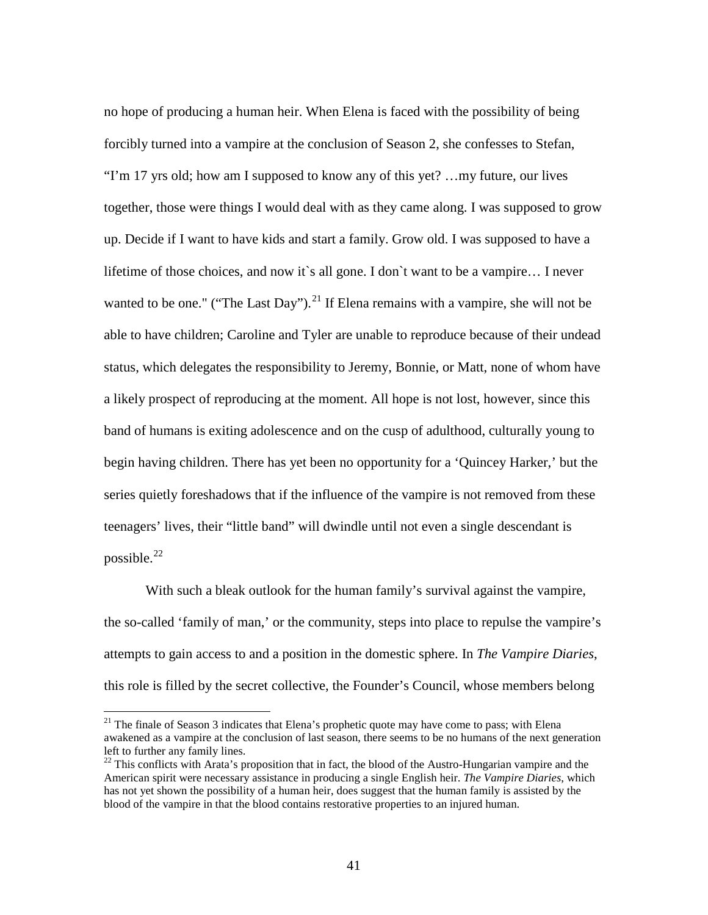no hope of producing a human heir. When Elena is faced with the possibility of being forcibly turned into a vampire at the conclusion of Season 2, she confesses to Stefan, "I'm 17 yrs old; how am I supposed to know any of this yet? …my future, our lives together, those were things I would deal with as they came along. I was supposed to grow up. Decide if I want to have kids and start a family. Grow old. I was supposed to have a lifetime of those choices, and now it`s all gone. I don`t want to be a vampire… I never wanted to be one." ("The Last Day").<sup>[21](#page-48-0)</sup> If Elena remains with a vampire, she will not be able to have children; Caroline and Tyler are unable to reproduce because of their undead status, which delegates the responsibility to Jeremy, Bonnie, or Matt, none of whom have a likely prospect of reproducing at the moment. All hope is not lost, however, since this band of humans is exiting adolescence and on the cusp of adulthood, culturally young to begin having children. There has yet been no opportunity for a 'Quincey Harker,' but the series quietly foreshadows that if the influence of the vampire is not removed from these teenagers' lives, their "little band" will dwindle until not even a single descendant is possible. $^{22}$  $^{22}$  $^{22}$ 

With such a bleak outlook for the human family's survival against the vampire, the so-called 'family of man,' or the community, steps into place to repulse the vampire's attempts to gain access to and a position in the domestic sphere. In *The Vampire Diaries*, this role is filled by the secret collective, the Founder's Council, whose members belong

<span id="page-48-0"></span><sup>&</sup>lt;sup>21</sup> The finale of Season 3 indicates that Elena's prophetic quote may have come to pass; with Elena awakened as a vampire at the conclusion of last season, there seems to be no humans of the next generation left to further any family lines.

<span id="page-48-1"></span><sup>&</sup>lt;sup>22</sup> This conflicts with Arata's proposition that in fact, the blood of the Austro-Hungarian vampire and the American spirit were necessary assistance in producing a single English heir. *The Vampire Diaries*, which has not yet shown the possibility of a human heir, does suggest that the human family is assisted by the blood of the vampire in that the blood contains restorative properties to an injured human.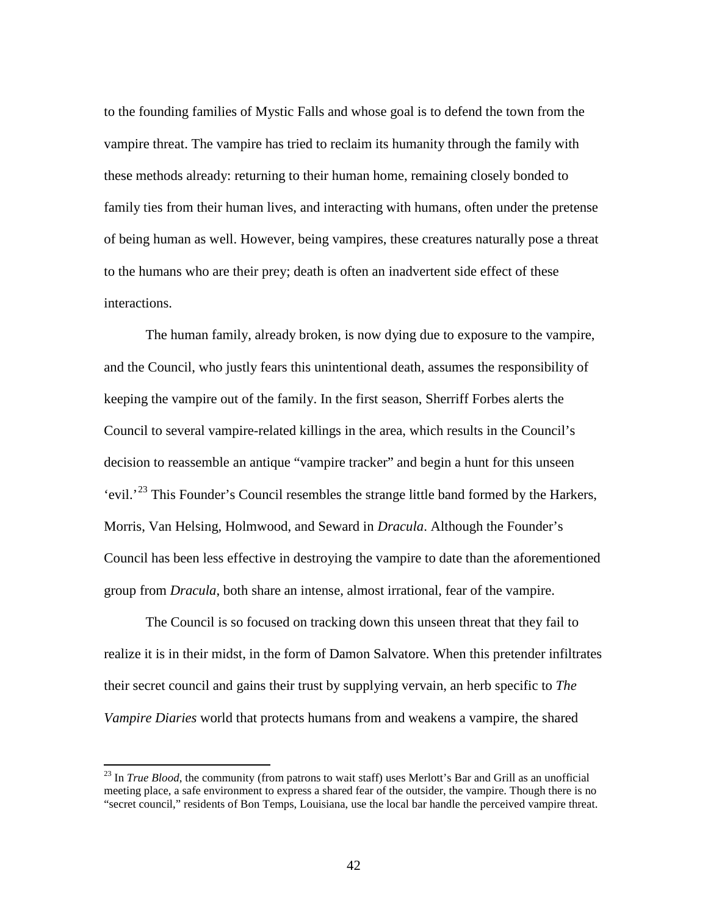to the founding families of Mystic Falls and whose goal is to defend the town from the vampire threat. The vampire has tried to reclaim its humanity through the family with these methods already: returning to their human home, remaining closely bonded to family ties from their human lives, and interacting with humans, often under the pretense of being human as well. However, being vampires, these creatures naturally pose a threat to the humans who are their prey; death is often an inadvertent side effect of these interactions.

The human family, already broken, is now dying due to exposure to the vampire, and the Council, who justly fears this unintentional death, assumes the responsibility of keeping the vampire out of the family. In the first season, Sherriff Forbes alerts the Council to several vampire-related killings in the area, which results in the Council's decision to reassemble an antique "vampire tracker" and begin a hunt for this unseen 'evil.<sup>[23](#page-49-0)</sup> This Founder's Council resembles the strange little band formed by the Harkers, Morris, Van Helsing, Holmwood, and Seward in *Dracula*. Although the Founder's Council has been less effective in destroying the vampire to date than the aforementioned group from *Dracula*, both share an intense, almost irrational, fear of the vampire.

The Council is so focused on tracking down this unseen threat that they fail to realize it is in their midst, in the form of Damon Salvatore. When this pretender infiltrates their secret council and gains their trust by supplying vervain, an herb specific to *The Vampire Diaries* world that protects humans from and weakens a vampire, the shared

<span id="page-49-0"></span><sup>&</sup>lt;sup>23</sup> In *True Blood*, the community (from patrons to wait staff) uses Merlott's Bar and Grill as an unofficial meeting place, a safe environment to express a shared fear of the outsider, the vampire. Though there is no "secret council," residents of Bon Temps, Louisiana, use the local bar handle the perceived vampire threat.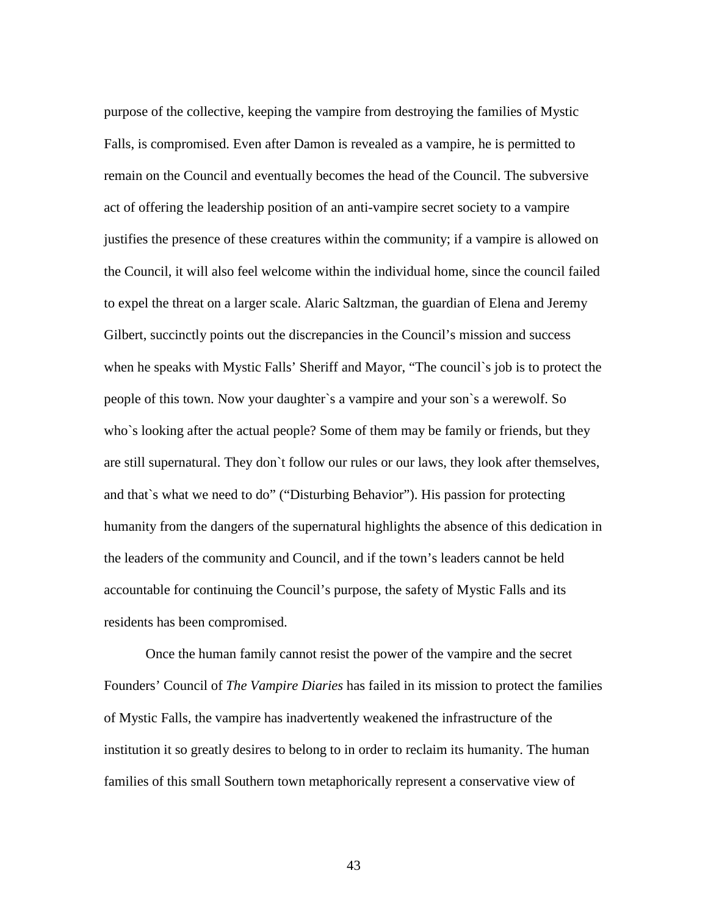purpose of the collective, keeping the vampire from destroying the families of Mystic Falls, is compromised. Even after Damon is revealed as a vampire, he is permitted to remain on the Council and eventually becomes the head of the Council. The subversive act of offering the leadership position of an anti-vampire secret society to a vampire justifies the presence of these creatures within the community; if a vampire is allowed on the Council, it will also feel welcome within the individual home, since the council failed to expel the threat on a larger scale. Alaric Saltzman, the guardian of Elena and Jeremy Gilbert, succinctly points out the discrepancies in the Council's mission and success when he speaks with Mystic Falls' Sheriff and Mayor, "The council`s job is to protect the people of this town. Now your daughter`s a vampire and your son`s a werewolf. So who`s looking after the actual people? Some of them may be family or friends, but they are still supernatural. They don`t follow our rules or our laws, they look after themselves, and that`s what we need to do" ("Disturbing Behavior"). His passion for protecting humanity from the dangers of the supernatural highlights the absence of this dedication in the leaders of the community and Council, and if the town's leaders cannot be held accountable for continuing the Council's purpose, the safety of Mystic Falls and its residents has been compromised.

Once the human family cannot resist the power of the vampire and the secret Founders' Council of *The Vampire Diaries* has failed in its mission to protect the families of Mystic Falls, the vampire has inadvertently weakened the infrastructure of the institution it so greatly desires to belong to in order to reclaim its humanity. The human families of this small Southern town metaphorically represent a conservative view of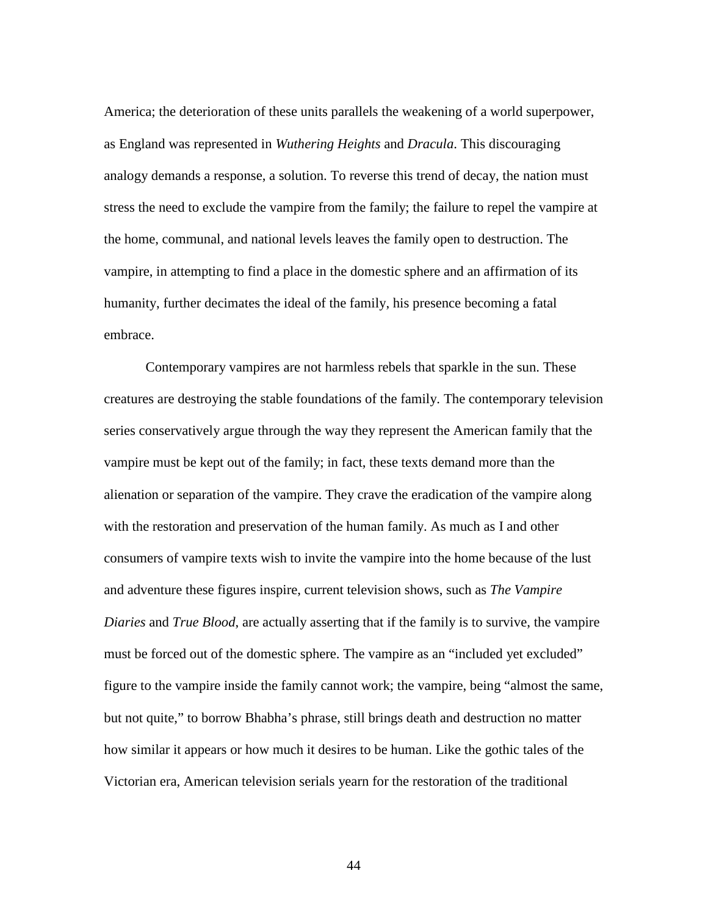America; the deterioration of these units parallels the weakening of a world superpower, as England was represented in *Wuthering Heights* and *Dracula*. This discouraging analogy demands a response, a solution. To reverse this trend of decay, the nation must stress the need to exclude the vampire from the family; the failure to repel the vampire at the home, communal, and national levels leaves the family open to destruction. The vampire, in attempting to find a place in the domestic sphere and an affirmation of its humanity, further decimates the ideal of the family, his presence becoming a fatal embrace.

Contemporary vampires are not harmless rebels that sparkle in the sun. These creatures are destroying the stable foundations of the family. The contemporary television series conservatively argue through the way they represent the American family that the vampire must be kept out of the family; in fact, these texts demand more than the alienation or separation of the vampire. They crave the eradication of the vampire along with the restoration and preservation of the human family. As much as I and other consumers of vampire texts wish to invite the vampire into the home because of the lust and adventure these figures inspire, current television shows, such as *The Vampire Diaries* and *True Blood*, are actually asserting that if the family is to survive, the vampire must be forced out of the domestic sphere. The vampire as an "included yet excluded" figure to the vampire inside the family cannot work; the vampire, being "almost the same, but not quite," to borrow Bhabha's phrase, still brings death and destruction no matter how similar it appears or how much it desires to be human. Like the gothic tales of the Victorian era, American television serials yearn for the restoration of the traditional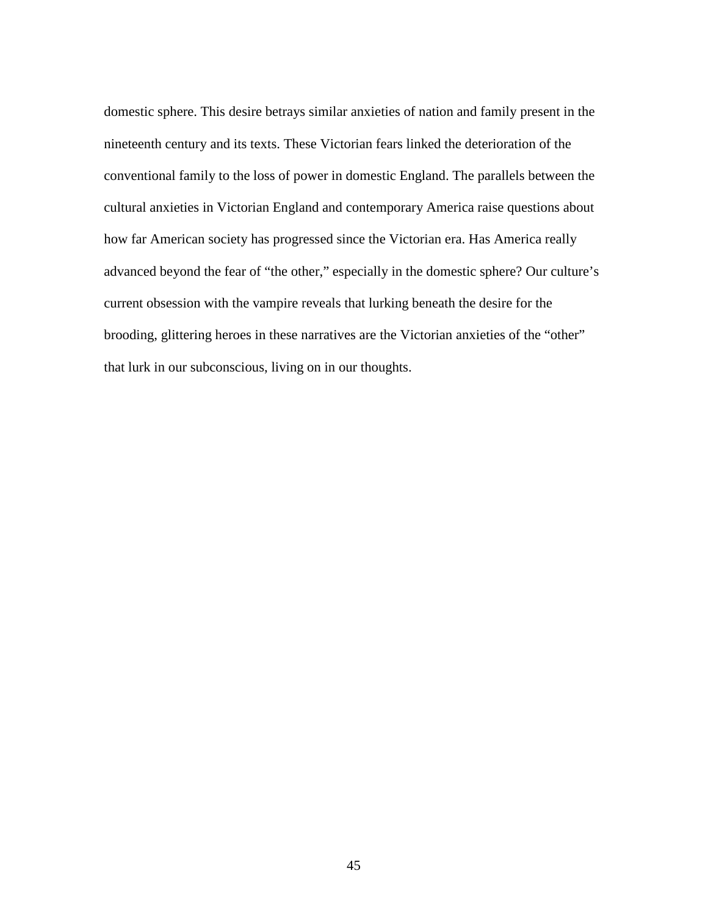domestic sphere. This desire betrays similar anxieties of nation and family present in the nineteenth century and its texts. These Victorian fears linked the deterioration of the conventional family to the loss of power in domestic England. The parallels between the cultural anxieties in Victorian England and contemporary America raise questions about how far American society has progressed since the Victorian era. Has America really advanced beyond the fear of "the other," especially in the domestic sphere? Our culture's current obsession with the vampire reveals that lurking beneath the desire for the brooding, glittering heroes in these narratives are the Victorian anxieties of the "other" that lurk in our subconscious, living on in our thoughts.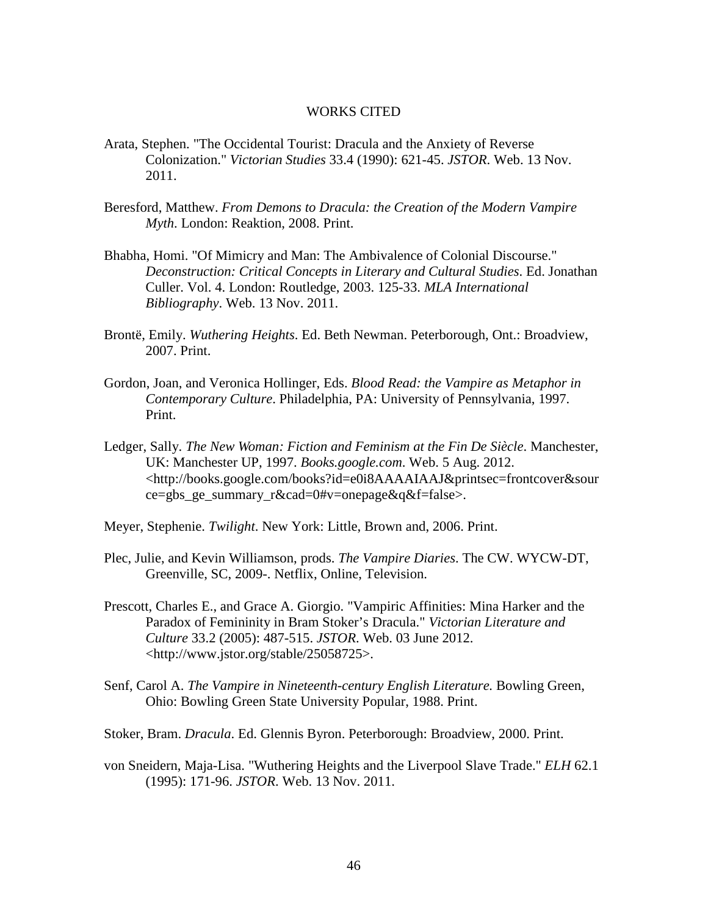### WORKS CITED

- Arata, Stephen. "The Occidental Tourist: Dracula and the Anxiety of Reverse Colonization." *Victorian Studies* 33.4 (1990): 621-45. *JSTOR*. Web. 13 Nov. 2011.
- Beresford, Matthew. *From Demons to Dracula: the Creation of the Modern Vampire Myth*. London: Reaktion, 2008. Print.
- Bhabha, Homi. "Of Mimicry and Man: The Ambivalence of Colonial Discourse." *Deconstruction: Critical Concepts in Literary and Cultural Studies*. Ed. Jonathan Culler. Vol. 4. London: Routledge, 2003. 125-33. *MLA International Bibliography*. Web. 13 Nov. 2011.
- Brontë, Emily. *Wuthering Heights*. Ed. Beth Newman. Peterborough, Ont.: Broadview, 2007. Print.
- Gordon, Joan, and Veronica Hollinger, Eds. *Blood Read: the Vampire as Metaphor in Contemporary Culture*. Philadelphia, PA: University of Pennsylvania, 1997. Print.
- Ledger, Sally. *The New Woman: Fiction and Feminism at the Fin De Siècle*. Manchester, UK: Manchester UP, 1997. *Books.google.com*. Web. 5 Aug. 2012. <http://books.google.com/books?id=e0i8AAAAIAAJ&printsec=frontcover&sour ce=gbs\_ge\_summary\_r&cad=0#v=onepage&q&f=false>.
- Meyer, Stephenie. *Twilight*. New York: Little, Brown and, 2006. Print.
- Plec, Julie, and Kevin Williamson, prods. *The Vampire Diaries*. The CW. WYCW-DT, Greenville, SC, 2009-. Netflix, Online, Television.
- Prescott, Charles E., and Grace A. Giorgio. "Vampiric Affinities: Mina Harker and the Paradox of Femininity in Bram Stoker's Dracula." *Victorian Literature and Culture* 33.2 (2005): 487-515. *JSTOR*. Web. 03 June 2012. <http://www.jstor.org/stable/25058725>.
- Senf, Carol A. *The Vampire in Nineteenth-century English Literature.* Bowling Green, Ohio: Bowling Green State University Popular, 1988. Print.
- Stoker, Bram. *Dracula*. Ed. Glennis Byron. Peterborough: Broadview, 2000. Print.
- von Sneidern, Maja-Lisa. "Wuthering Heights and the Liverpool Slave Trade." *ELH* 62.1 (1995): 171-96. *JSTOR*. Web. 13 Nov. 2011.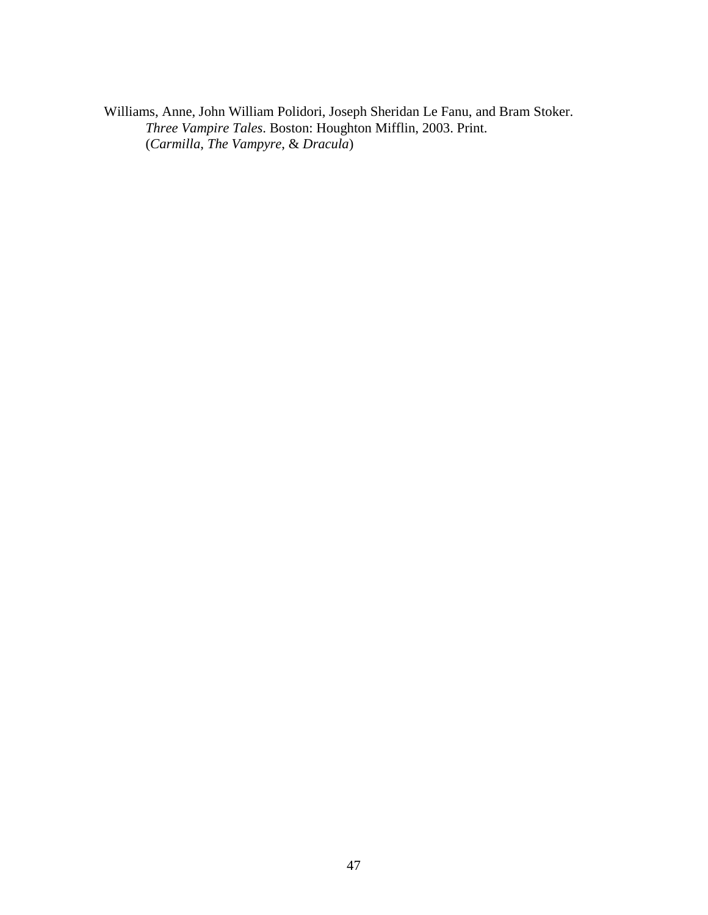Williams, Anne, John William Polidori, Joseph Sheridan Le Fanu, and Bram Stoker. *Three Vampire Tales*. Boston: Houghton Mifflin, 2003. Print. (*Carmilla*, *The Vampyre*, & *Dracula*)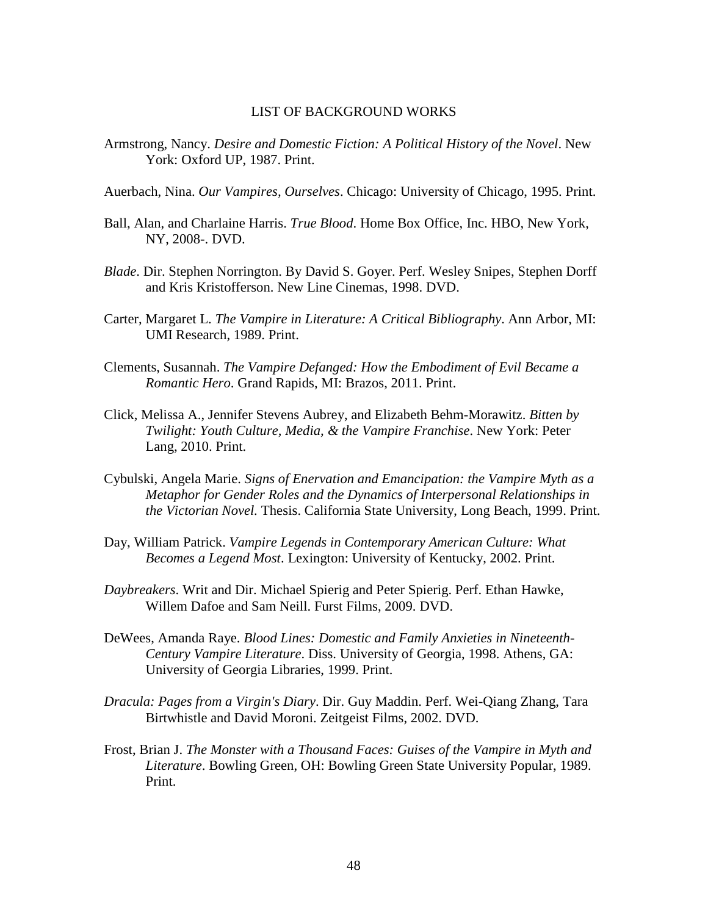### LIST OF BACKGROUND WORKS

Armstrong, Nancy. *Desire and Domestic Fiction: A Political History of the Novel*. New York: Oxford UP, 1987. Print.

Auerbach, Nina. *Our Vampires, Ourselves*. Chicago: University of Chicago, 1995. Print.

- Ball, Alan, and Charlaine Harris. *True Blood*. Home Box Office, Inc. HBO, New York, NY, 2008-. DVD.
- *Blade*. Dir. Stephen Norrington. By David S. Goyer. Perf. Wesley Snipes, Stephen Dorff and Kris Kristofferson. New Line Cinemas, 1998. DVD.
- Carter, Margaret L. *The Vampire in Literature: A Critical Bibliography*. Ann Arbor, MI: UMI Research, 1989. Print.
- Clements, Susannah. *The Vampire Defanged: How the Embodiment of Evil Became a Romantic Hero*. Grand Rapids, MI: Brazos, 2011. Print.
- Click, Melissa A., Jennifer Stevens Aubrey, and Elizabeth Behm-Morawitz. *Bitten by Twilight: Youth Culture, Media, & the Vampire Franchise*. New York: Peter Lang, 2010. Print.
- Cybulski, Angela Marie. *Signs of Enervation and Emancipation: the Vampire Myth as a Metaphor for Gender Roles and the Dynamics of Interpersonal Relationships in the Victorian Novel.* Thesis. California State University, Long Beach, 1999. Print.
- Day, William Patrick. *Vampire Legends in Contemporary American Culture: What Becomes a Legend Most*. Lexington: University of Kentucky, 2002. Print.
- *Daybreakers*. Writ and Dir. Michael Spierig and Peter Spierig. Perf. Ethan Hawke, Willem Dafoe and Sam Neill. Furst Films, 2009. DVD.
- DeWees, Amanda Raye. *Blood Lines: Domestic and Family Anxieties in Nineteenth-Century Vampire Literature*. Diss. University of Georgia, 1998. Athens, GA: University of Georgia Libraries, 1999. Print.
- *Dracula: Pages from a Virgin's Diary*. Dir. Guy Maddin. Perf. Wei-Qiang Zhang, Tara Birtwhistle and David Moroni. Zeitgeist Films, 2002. DVD.
- Frost, Brian J. *The Monster with a Thousand Faces: Guises of the Vampire in Myth and Literature*. Bowling Green, OH: Bowling Green State University Popular, 1989. Print.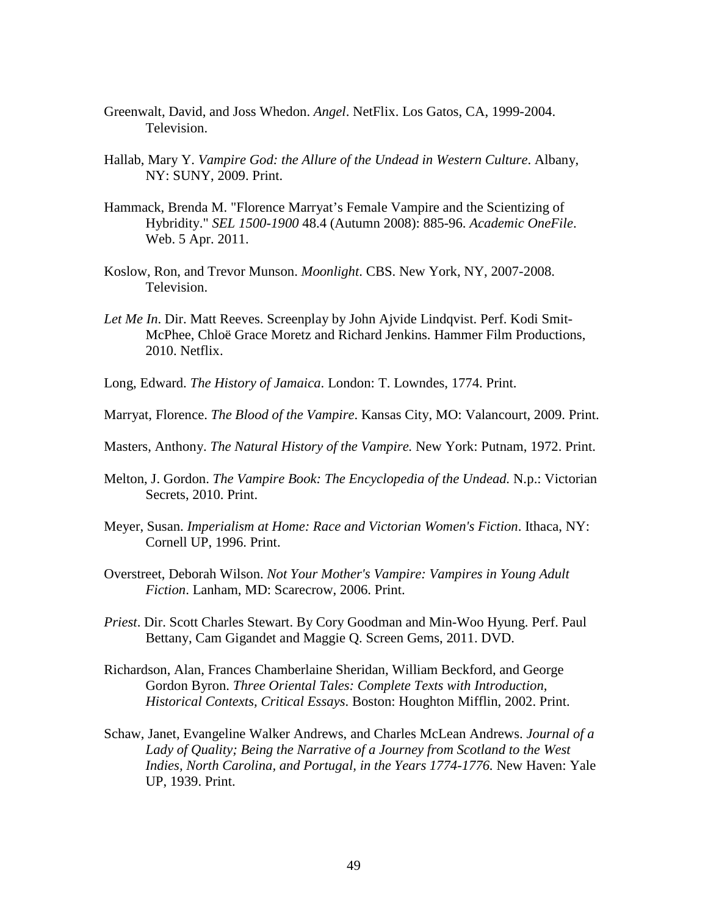- Greenwalt, David, and Joss Whedon. *Angel*. NetFlix. Los Gatos, CA, 1999-2004. Television.
- Hallab, Mary Y. *Vampire God: the Allure of the Undead in Western Culture*. Albany, NY: SUNY, 2009. Print.
- Hammack, Brenda M. "Florence Marryat's Female Vampire and the Scientizing of Hybridity." *SEL 1500-1900* 48.4 (Autumn 2008): 885-96. *Academic OneFile*. Web. 5 Apr. 2011.
- Koslow, Ron, and Trevor Munson. *Moonlight*. CBS. New York, NY, 2007-2008. Television.
- *Let Me In*. Dir. Matt Reeves. Screenplay by John Ajvide Lindqvist. Perf. Kodi Smit-McPhee, Chloë Grace Moretz and Richard Jenkins. Hammer Film Productions, 2010. Netflix.
- Long, Edward. *The History of Jamaica*. London: T. Lowndes, 1774. Print.
- Marryat, Florence. *The Blood of the Vampire*. Kansas City, MO: Valancourt, 2009. Print.
- Masters, Anthony. *The Natural History of the Vampire.* New York: Putnam, 1972. Print.
- Melton, J. Gordon. *The Vampire Book: The Encyclopedia of the Undead.* N.p.: Victorian Secrets, 2010. Print.
- Meyer, Susan. *Imperialism at Home: Race and Victorian Women's Fiction*. Ithaca, NY: Cornell UP, 1996. Print.
- Overstreet, Deborah Wilson. *Not Your Mother's Vampire: Vampires in Young Adult Fiction*. Lanham, MD: Scarecrow, 2006. Print.
- *Priest*. Dir. Scott Charles Stewart. By Cory Goodman and Min-Woo Hyung. Perf. Paul Bettany, Cam Gigandet and Maggie Q. Screen Gems, 2011. DVD.
- Richardson, Alan, Frances Chamberlaine Sheridan, William Beckford, and George Gordon Byron. *Three Oriental Tales: Complete Texts with Introduction, Historical Contexts, Critical Essays*. Boston: Houghton Mifflin, 2002. Print.
- Schaw, Janet, Evangeline Walker Andrews, and Charles McLean Andrews. *Journal of a Lady of Quality; Being the Narrative of a Journey from Scotland to the West Indies, North Carolina, and Portugal, in the Years 1774-1776.* New Haven: Yale UP, 1939. Print.